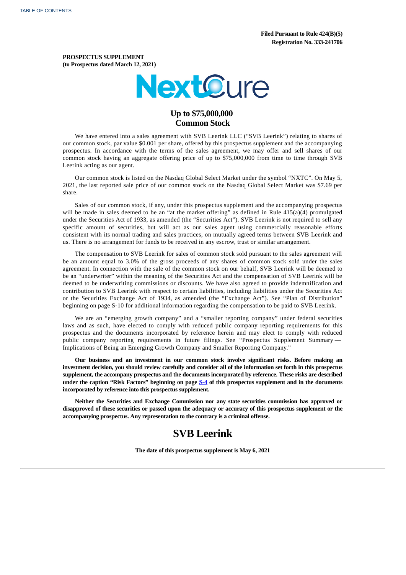**PROSPECTUS SUPPLEMENT (to Prospectus dated March 12, 2021)**



# **Up to \$75,000,000 Common Stock**

We have entered into a sales agreement with SVB Leerink LLC ("SVB Leerink") relating to shares of our common stock, par value \$0.001 per share, offered by this prospectus supplement and the accompanying prospectus. In accordance with the terms of the sales agreement, we may offer and sell shares of our common stock having an aggregate offering price of up to \$75,000,000 from time to time through SVB Leerink acting as our agent.

Our common stock is listed on the Nasdaq Global Select Market under the symbol "NXTC". On May 5, 2021, the last reported sale price of our common stock on the Nasdaq Global Select Market was \$7.69 per share.

Sales of our common stock, if any, under this prospectus supplement and the accompanying prospectus will be made in sales deemed to be an "at the market offering" as defined in Rule 415(a)(4) promulgated under the Securities Act of 1933, as amended (the "Securities Act"). SVB Leerink is not required to sell any specific amount of securities, but will act as our sales agent using commercially reasonable efforts consistent with its normal trading and sales practices, on mutually agreed terms between SVB Leerink and us. There is no arrangement for funds to be received in any escrow, trust or similar arrangement.

The compensation to SVB Leerink for sales of common stock sold pursuant to the sales agreement will be an amount equal to 3.0% of the gross proceeds of any shares of common stock sold under the sales agreement. In connection with the sale of the common stock on our behalf, SVB Leerink will be deemed to be an "underwriter" within the meaning of the Securities Act and the compensation of SVB Leerink will be deemed to be underwriting commissions or discounts. We have also agreed to provide indemnification and contribution to SVB Leerink with respect to certain liabilities, including liabilities under the Securities Act or the Securities Exchange Act of 1934, as amended (the "Exchange Act"). See "Plan of Distribution" beginning on page S-10 for additional information regarding the compensation to be paid to SVB Leerink.

We are an "emerging growth company" and a "smaller reporting company" under federal securities laws and as such, have elected to comply with reduced public company reporting requirements for this prospectus and the documents incorporated by reference herein and may elect to comply with reduced public company reporting requirements in future filings. See "Prospectus Supplement Summary — Implications of Being an Emerging Growth Company and Smaller Reporting Company."

**Our business and an investment in our common stock involve significant risks. Before making an** investment decision, you should review carefully and consider all of the information set forth in this prospectus **supplement, the accompany prospectus and the documents incorporated by reference. These risks are described under the caption "Risk Factors" beginning on page [S-4](#page-5-0) of this prospectus supplement and in the documents incorporated by reference into this prospectus supplement.**

**Neither the Securities and Exchange Commission nor any state securities commission has approved or** disapproved of these securities or passed upon the adequacy or accuracy of this prospectus supplement or the **accompanying prospectus. Any representation to the contrary is a criminal offense.**

# **SVB Leerink**

<span id="page-0-0"></span>**The date of this prospectus supplement is May 6, 2021**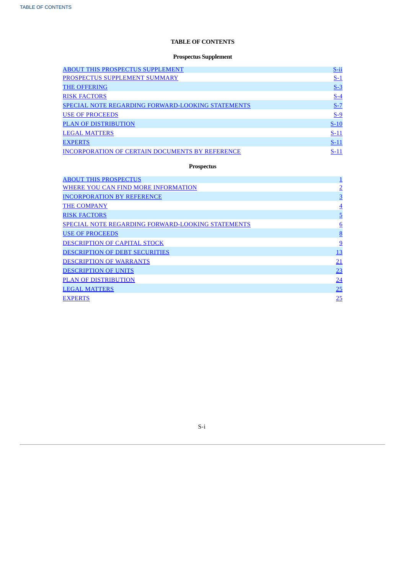## **TABLE OF CONTENTS**

## **Prospectus Supplement**

| <b>ABOUT THIS PROSPECTUS SUPPLEMENT</b>                | $S$ -ii |
|--------------------------------------------------------|---------|
| PROSPECTUS SUPPLEMENT SUMMARY                          | $S-1$   |
| <b>THE OFFERING</b>                                    | $S-3$   |
| <b>RISK FACTORS</b>                                    | $S-4$   |
| SPECIAL NOTE REGARDING FORWARD-LOOKING STATEMENTS      | $S-7$   |
| <b>USE OF PROCEEDS</b>                                 | $S-9$   |
| <b>PLAN OF DISTRIBUTION</b>                            | $S-10$  |
| <b>LEGAL MATTERS</b>                                   | $S-11$  |
| <b>EXPERTS</b>                                         | $S-11$  |
| <b>INCORPORATION OF CERTAIN DOCUMENTS BY REFERENCE</b> | $S-11$  |

# **Prospectus**

| <b>ABOUT THIS PROSPECTUS</b>                             | <u> 1</u>       |
|----------------------------------------------------------|-----------------|
| WHERE YOU CAN FIND MORE INFORMATION                      | $\overline{2}$  |
| <b>INCORPORATION BY REFERENCE</b>                        | <u>3</u>        |
| <b>THE COMPANY</b>                                       | $\overline{4}$  |
| <b>RISK FACTORS</b>                                      | $\overline{5}$  |
| <b>SPECIAL NOTE REGARDING FORWARD-LOOKING STATEMENTS</b> | $6\overline{6}$ |
| <b>USE OF PROCEEDS</b>                                   | 8               |
| <b>DESCRIPTION OF CAPITAL STOCK</b>                      | 9               |
| <b>DESCRIPTION OF DEBT SECURITIES</b>                    | 13              |
| <b>DESCRIPTION OF WARRANTS</b>                           | $\overline{21}$ |
| <b>DESCRIPTION OF UNITS</b>                              | 23              |
| <b>PLAN OF DISTRIBUTION</b>                              | $\overline{24}$ |
| <b>LEGAL MATTERS</b>                                     | 25              |
| <b>EXPERTS</b>                                           | 25              |

<span id="page-1-0"></span>S-i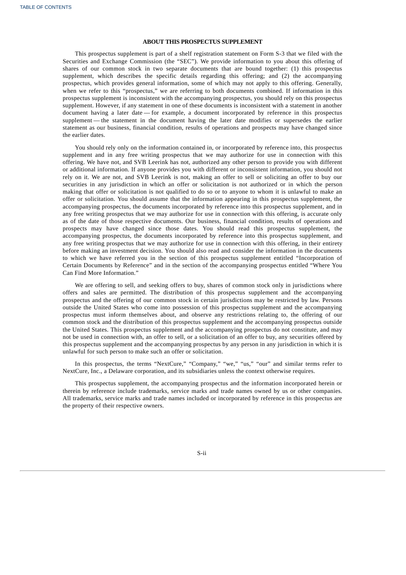## **ABOUT THIS PROSPECTUS SUPPLEMENT**

This prospectus supplement is part of a shelf registration statement on Form S-3 that we filed with the Securities and Exchange Commission (the "SEC"). We provide information to you about this offering of shares of our common stock in two separate documents that are bound together: (1) this prospectus supplement, which describes the specific details regarding this offering; and (2) the accompanying prospectus, which provides general information, some of which may not apply to this offering. Generally, when we refer to this "prospectus," we are referring to both documents combined. If information in this prospectus supplement is inconsistent with the accompanying prospectus, you should rely on this prospectus supplement. However, if any statement in one of these documents is inconsistent with a statement in another document having a later date — for example, a document incorporated by reference in this prospectus supplement — the statement in the document having the later date modifies or supersedes the earlier statement as our business, financial condition, results of operations and prospects may have changed since the earlier dates.

You should rely only on the information contained in, or incorporated by reference into, this prospectus supplement and in any free writing prospectus that we may authorize for use in connection with this offering. We have not, and SVB Leerink has not, authorized any other person to provide you with different or additional information. If anyone provides you with different or inconsistent information, you should not rely on it. We are not, and SVB Leerink is not, making an offer to sell or soliciting an offer to buy our securities in any jurisdiction in which an offer or solicitation is not authorized or in which the person making that offer or solicitation is not qualified to do so or to anyone to whom it is unlawful to make an offer or solicitation. You should assume that the information appearing in this prospectus supplement, the accompanying prospectus, the documents incorporated by reference into this prospectus supplement, and in any free writing prospectus that we may authorize for use in connection with this offering, is accurate only as of the date of those respective documents. Our business, financial condition, results of operations and prospects may have changed since those dates. You should read this prospectus supplement, the accompanying prospectus, the documents incorporated by reference into this prospectus supplement, and any free writing prospectus that we may authorize for use in connection with this offering, in their entirety before making an investment decision. You should also read and consider the information in the documents to which we have referred you in the section of this prospectus supplement entitled "Incorporation of Certain Documents by Reference" and in the section of the accompanying prospectus entitled "Where You Can Find More Information."

We are offering to sell, and seeking offers to buy, shares of common stock only in jurisdictions where offers and sales are permitted. The distribution of this prospectus supplement and the accompanying prospectus and the offering of our common stock in certain jurisdictions may be restricted by law. Persons outside the United States who come into possession of this prospectus supplement and the accompanying prospectus must inform themselves about, and observe any restrictions relating to, the offering of our common stock and the distribution of this prospectus supplement and the accompanying prospectus outside the United States. This prospectus supplement and the accompanying prospectus do not constitute, and may not be used in connection with, an offer to sell, or a solicitation of an offer to buy, any securities offered by this prospectus supplement and the accompanying prospectus by any person in any jurisdiction in which it is unlawful for such person to make such an offer or solicitation.

In this prospectus, the terms "NextCure," "Company," "we," "us," "our" and similar terms refer to NextCure, Inc., a Delaware corporation, and its subsidiaries unless the context otherwise requires.

This prospectus supplement, the accompanying prospectus and the information incorporated herein or therein by reference include trademarks, service marks and trade names owned by us or other companies. All trademarks, service marks and trade names included or incorporated by reference in this prospectus are the property of their respective owners.

<span id="page-2-0"></span>S-ii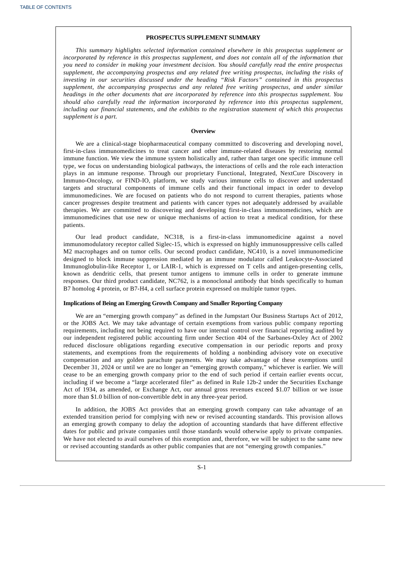## **PROSPECTUS SUPPLEMENT SUMMARY**

*This summary highlights selected information contained elsewhere in this prospectus supplement or incorporated by reference in this prospectus supplement, and does not contain all of the information that you need to consider in making your investment decision. You should carefully read the entire prospectus supplement, the accompanying prospectus and any related free writing prospectus, including the risks of investing in our securities discussed under the heading "Risk Factors" contained in this prospectus supplement, the accompanying prospectus and any related free writing prospectus, and under similar headings in the other documents that are incorporated by reference into this prospectus supplement. You should also carefully read the information incorporated by reference into this prospectus supplement, including our financial statements, and the exhibits to the registration statement of which this prospectus supplement is a part.*

#### **Overview**

We are a clinical-stage biopharmaceutical company committed to discovering and developing novel, first-in-class immunomedicines to treat cancer and other immune-related diseases by restoring normal immune function. We view the immune system holistically and, rather than target one specific immune cell type, we focus on understanding biological pathways, the interactions of cells and the role each interaction plays in an immune response. Through our proprietary Functional, Integrated, NextCure Discovery in Immuno-Oncology, or FIND-IO, platform, we study various immune cells to discover and understand targets and structural components of immune cells and their functional impact in order to develop immunomedicines. We are focused on patients who do not respond to current therapies, patients whose cancer progresses despite treatment and patients with cancer types not adequately addressed by available therapies. We are committed to discovering and developing first-in-class immunomedicines, which are immunomedicines that use new or unique mechanisms of action to treat a medical condition, for these patients.

Our lead product candidate, NC318, is a first-in-class immunomedicine against a novel immunomodulatory receptor called Siglec-15, which is expressed on highly immunosuppressive cells called M2 macrophages and on tumor cells. Our second product candidate, NC410, is a novel immunomedicine designed to block immune suppression mediated by an immune modulator called Leukocyte-Associated Immunoglobulin-like Receptor 1, or LAIR-1, which is expressed on T cells and antigen-presenting cells, known as dendritic cells, that present tumor antigens to immune cells in order to generate immune responses. Our third product candidate, NC762, is a monoclonal antibody that binds specifically to human B7 homolog 4 protein, or B7-H4, a cell surface protein expressed on multiple tumor types.

## **Implications of Being an Emerging Growth Company and Smaller Reporting Company**

We are an "emerging growth company" as defined in the Jumpstart Our Business Startups Act of 2012, or the JOBS Act. We may take advantage of certain exemptions from various public company reporting requirements, including not being required to have our internal control over financial reporting audited by our independent registered public accounting firm under Section 404 of the Sarbanes-Oxley Act of 2002 reduced disclosure obligations regarding executive compensation in our periodic reports and proxy statements, and exemptions from the requirements of holding a nonbinding advisory vote on executive compensation and any golden parachute payments. We may take advantage of these exemptions until December 31, 2024 or until we are no longer an "emerging growth company," whichever is earlier. We will cease to be an emerging growth company prior to the end of such period if certain earlier events occur, including if we become a "large accelerated filer" as defined in Rule 12b-2 under the Securities Exchange Act of 1934, as amended, or Exchange Act, our annual gross revenues exceed \$1.07 billion or we issue more than \$1.0 billion of non-convertible debt in any three-year period.

In addition, the JOBS Act provides that an emerging growth company can take advantage of an extended transition period for complying with new or revised accounting standards. This provision allows an emerging growth company to delay the adoption of accounting standards that have different effective dates for public and private companies until those standards would otherwise apply to private companies. We have not elected to avail ourselves of this exemption and, therefore, we will be subject to the same new or revised accounting standards as other public companies that are not "emerging growth companies."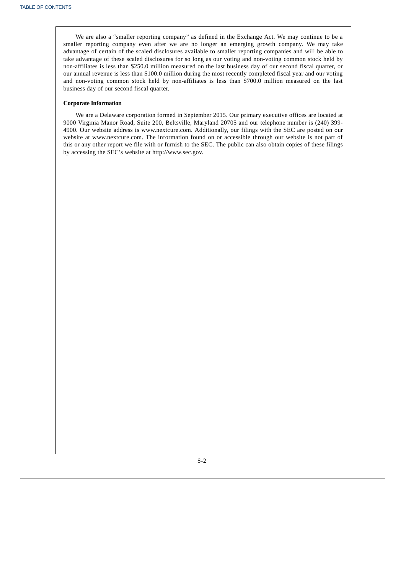We are also a "smaller reporting company" as defined in the Exchange Act. We may continue to be a smaller reporting company even after we are no longer an emerging growth company. We may take advantage of certain of the scaled disclosures available to smaller reporting companies and will be able to take advantage of these scaled disclosures for so long as our voting and non-voting common stock held by non-affiliates is less than \$250.0 million measured on the last business day of our second fiscal quarter, or our annual revenue is less than \$100.0 million during the most recently completed fiscal year and our voting and non-voting common stock held by non-affiliates is less than \$700.0 million measured on the last business day of our second fiscal quarter.

## **Corporate Information**

We are a Delaware corporation formed in September 2015. Our primary executive offices are located at 9000 Virginia Manor Road, Suite 200, Beltsville, Maryland 20705 and our telephone number is (240) 399- 4900. Our website address is www.nextcure.com. Additionally, our filings with the SEC are posted on our website at www.nextcure.com. The information found on or accessible through our website is not part of this or any other report we file with or furnish to the SEC. The public can also obtain copies of these filings by accessing the SEC's website at http://www.sec.gov.

<span id="page-4-0"></span>S-2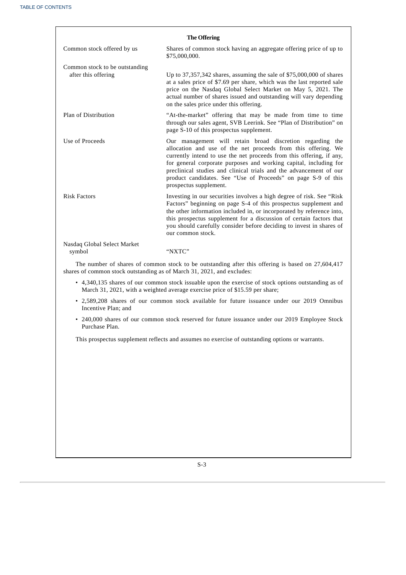| <b>The Offering</b>                                                                                                                                                         |                                                                                                                                                                                                                                                                                                                                                                                                                                          |  |  |
|-----------------------------------------------------------------------------------------------------------------------------------------------------------------------------|------------------------------------------------------------------------------------------------------------------------------------------------------------------------------------------------------------------------------------------------------------------------------------------------------------------------------------------------------------------------------------------------------------------------------------------|--|--|
| Common stock offered by us                                                                                                                                                  | Shares of common stock having an aggregate offering price of up to<br>\$75,000,000.                                                                                                                                                                                                                                                                                                                                                      |  |  |
| Common stock to be outstanding<br>after this offering                                                                                                                       | Up to 37,357,342 shares, assuming the sale of \$75,000,000 of shares<br>at a sales price of \$7.69 per share, which was the last reported sale<br>price on the Nasdaq Global Select Market on May 5, 2021. The<br>actual number of shares issued and outstanding will vary depending<br>on the sales price under this offering.                                                                                                          |  |  |
| Plan of Distribution                                                                                                                                                        | "At-the-market" offering that may be made from time to time<br>through our sales agent, SVB Leerink. See "Plan of Distribution" on<br>page S-10 of this prospectus supplement.                                                                                                                                                                                                                                                           |  |  |
| Use of Proceeds                                                                                                                                                             | Our management will retain broad discretion regarding the<br>allocation and use of the net proceeds from this offering. We<br>currently intend to use the net proceeds from this offering, if any,<br>for general corporate purposes and working capital, including for<br>preclinical studies and clinical trials and the advancement of our<br>product candidates. See "Use of Proceeds" on page S-9 of this<br>prospectus supplement. |  |  |
| <b>Risk Factors</b>                                                                                                                                                         | Investing in our securities involves a high degree of risk. See "Risk<br>Factors" beginning on page S-4 of this prospectus supplement and<br>the other information included in, or incorporated by reference into,<br>this prospectus supplement for a discussion of certain factors that<br>you should carefully consider before deciding to invest in shares of<br>our common stock.                                                   |  |  |
| Nasdaq Global Select Market<br>symbol                                                                                                                                       | "NXTC"                                                                                                                                                                                                                                                                                                                                                                                                                                   |  |  |
| The number of shares of common stock to be outstanding after this offering is based on 27,604,417<br>shares of common stock outstanding as of March 31, 2021, and excludes: |                                                                                                                                                                                                                                                                                                                                                                                                                                          |  |  |
|                                                                                                                                                                             | $\bullet$ 4.340.135 shares of our common stock issuable upon the exercise of stock options outstanding as of                                                                                                                                                                                                                                                                                                                             |  |  |

- 4,340,135 shares of our common stock issuable upon the exercise of stock options outstanding as of March 31, 2021, with a weighted average exercise price of \$15.59 per share;
- 2,589,208 shares of our common stock available for future issuance under our 2019 Omnibus Incentive Plan; and
- 240,000 shares of our common stock reserved for future issuance under our 2019 Employee Stock Purchase Plan.

<span id="page-5-0"></span>This prospectus supplement reflects and assumes no exercise of outstanding options or warrants.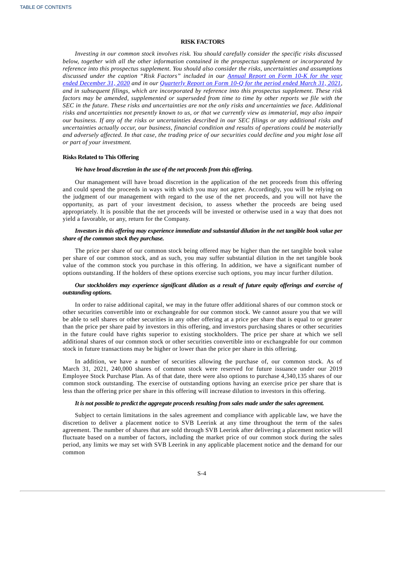## **RISK FACTORS**

*Investing in our common stock involves risk. You should carefully consider the specific risks discussed below, together with all the other information contained in the prospectus supplement or incorporated by reference into this prospectus supplement. You should also consider the risks, uncertainties and assumptions discussed under the caption "Risk Factors" included in our Annual Report on Form 10-K for the year* ended [December](http://www.sec.gov/Archives/edgar/data/1661059/000155837021002384/nxtc-20201231x10k.htm) 31, 2020 and in our [Quarterly](https://www.sec.gov/ix?doc=/Archives/edgar/data/0001661059/000155837021006266/nxtc-20210331x10q.htm) Report on Form 10-Q for the period ended March 31, 2021, *and in subsequent filings, which are incorporated by reference into this prospectus supplement. These risk* factors may be amended, supplemented or superseded from time to time by other reports we file with the SEC in the future. These risks and uncertainties are not the only risks and uncertainties we face. Additional risks and uncertainties not presently known to us, or that we currently view as immaterial, may also impair our business. If any of the risks or uncertainties described in our SEC filings or any additional risks and *uncertainties actually occur, our business, financial condition and results of operations could be materially* and adversely affected. In that case, the trading price of our securities could decline and you might lose all *or part of your investment.*

## **Risks Related to This Offering**

## *We have broad discretion in the use of the net proceeds from this offering.*

Our management will have broad discretion in the application of the net proceeds from this offering and could spend the proceeds in ways with which you may not agree. Accordingly, you will be relying on the judgment of our management with regard to the use of the net proceeds, and you will not have the opportunity, as part of your investment decision, to assess whether the proceeds are being used appropriately. It is possible that the net proceeds will be invested or otherwise used in a way that does not yield a favorable, or any, return for the Company.

## Investors in this offering may experience immediate and substantial dilution in the net tangible book value per *share of the common stock they purchase.*

The price per share of our common stock being offered may be higher than the net tangible book value per share of our common stock, and as such, you may suffer substantial dilution in the net tangible book value of the common stock you purchase in this offering. In addition, we have a significant number of options outstanding. If the holders of these options exercise such options, you may incur further dilution.

## *Our stockholders may experience significant dilution as a result of future equity offerings and exercise of outstanding options.*

In order to raise additional capital, we may in the future offer additional shares of our common stock or other securities convertible into or exchangeable for our common stock. We cannot assure you that we will be able to sell shares or other securities in any other offering at a price per share that is equal to or greater than the price per share paid by investors in this offering, and investors purchasing shares or other securities in the future could have rights superior to existing stockholders. The price per share at which we sell additional shares of our common stock or other securities convertible into or exchangeable for our common stock in future transactions may be higher or lower than the price per share in this offering.

In addition, we have a number of securities allowing the purchase of, our common stock. As of March 31, 2021, 240,000 shares of common stock were reserved for future issuance under our 2019 Employee Stock Purchase Plan. As of that date, there were also options to purchase 4,340,135 shares of our common stock outstanding. The exercise of outstanding options having an exercise price per share that is less than the offering price per share in this offering will increase dilution to investors in this offering.

#### *It is not possible to predict the aggregate proceeds resulting from sales made under the sales agreement.*

Subject to certain limitations in the sales agreement and compliance with applicable law, we have the discretion to deliver a placement notice to SVB Leerink at any time throughout the term of the sales agreement. The number of shares that are sold through SVB Leerink after delivering a placement notice will fluctuate based on a number of factors, including the market price of our common stock during the sales period, any limits we may set with SVB Leerink in any applicable placement notice and the demand for our common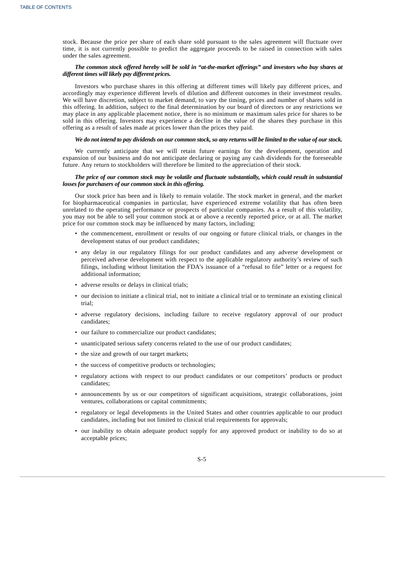stock. Because the price per share of each share sold pursuant to the sales agreement will fluctuate over time, it is not currently possible to predict the aggregate proceeds to be raised in connection with sales under the sales agreement.

## *The common stock offered hereby will be sold in "at-the-market offerings" and investors who buy shares at different times will likely pay different prices.*

Investors who purchase shares in this offering at different times will likely pay different prices, and accordingly may experience different levels of dilution and different outcomes in their investment results. We will have discretion, subject to market demand, to vary the timing, prices and number of shares sold in this offering. In addition, subject to the final determination by our board of directors or any restrictions we may place in any applicable placement notice, there is no minimum or maximum sales price for shares to be sold in this offering. Investors may experience a decline in the value of the shares they purchase in this offering as a result of sales made at prices lower than the prices they paid.

## We do not intend to pay dividends on our common stock, so any returns will be limited to the value of our stock.

We currently anticipate that we will retain future earnings for the development, operation and expansion of our business and do not anticipate declaring or paying any cash dividends for the foreseeable future. Any return to stockholders will therefore be limited to the appreciation of their stock.

## The price of our common stock may be volatile and fluctuate substantially, which could result in substantial *losses for purchasers of our common stock in this offering.*

Our stock price has been and is likely to remain volatile. The stock market in general, and the market for biopharmaceutical companies in particular, have experienced extreme volatility that has often been unrelated to the operating performance or prospects of particular companies. As a result of this volatility, you may not be able to sell your common stock at or above a recently reported price, or at all. The market price for our common stock may be influenced by many factors, including:

- the commencement, enrollment or results of our ongoing or future clinical trials, or changes in the development status of our product candidates;
- any delay in our regulatory filings for our product candidates and any adverse development or perceived adverse development with respect to the applicable regulatory authority's review of such filings, including without limitation the FDA's issuance of a "refusal to file" letter or a request for additional information;
- adverse results or delays in clinical trials;
- our decision to initiate a clinical trial, not to initiate a clinical trial or to terminate an existing clinical trial;
- adverse regulatory decisions, including failure to receive regulatory approval of our product candidates;
- our failure to commercialize our product candidates;
- unanticipated serious safety concerns related to the use of our product candidates;
- the size and growth of our target markets;
- the success of competitive products or technologies;
- regulatory actions with respect to our product candidates or our competitors' products or product candidates;
- announcements by us or our competitors of significant acquisitions, strategic collaborations, joint ventures, collaborations or capital commitments;
- regulatory or legal developments in the United States and other countries applicable to our product candidates, including but not limited to clinical trial requirements for approvals;
- our inability to obtain adequate product supply for any approved product or inability to do so at acceptable prices;

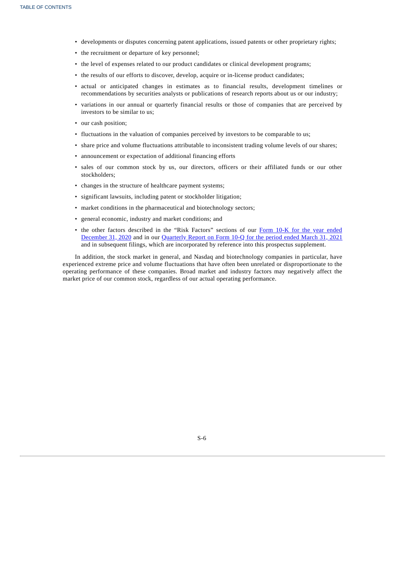- developments or disputes concerning patent applications, issued patents or other proprietary rights;
- the recruitment or departure of key personnel;
- the level of expenses related to our product candidates or clinical development programs;
- the results of our efforts to discover, develop, acquire or in-license product candidates;
- actual or anticipated changes in estimates as to financial results, development timelines or recommendations by securities analysts or publications of research reports about us or our industry;
- variations in our annual or quarterly financial results or those of companies that are perceived by investors to be similar to us;
- our cash position;
- fluctuations in the valuation of companies perceived by investors to be comparable to us;
- share price and volume fluctuations attributable to inconsistent trading volume levels of our shares;
- announcement or expectation of additional financing efforts
- sales of our common stock by us, our directors, officers or their affiliated funds or our other stockholders;
- changes in the structure of healthcare payment systems;
- significant lawsuits, including patent or stockholder litigation;
- market conditions in the pharmaceutical and biotechnology sectors;
- general economic, industry and market conditions; and
- the other factors described in the "Risk Factors" sections of our Form 10-K for the year ended [December](http://www.sec.gov/Archives/edgar/data/1661059/000155837021002384/nxtc-20201231x10k.htm) 31, 2020 and in our [Quarterly](https://www.sec.gov/ix?doc=/Archives/edgar/data/0001661059/000155837021006266/nxtc-20210331x10q.htm) Report on Form 10-Q for the period ended March 31, 2021 and in subsequent filings, which are incorporated by reference into this prospectus supplement.

In addition, the stock market in general, and Nasdaq and biotechnology companies in particular, have experienced extreme price and volume fluctuations that have often been unrelated or disproportionate to the operating performance of these companies. Broad market and industry factors may negatively affect the market price of our common stock, regardless of our actual operating performance.

<span id="page-8-0"></span>S-6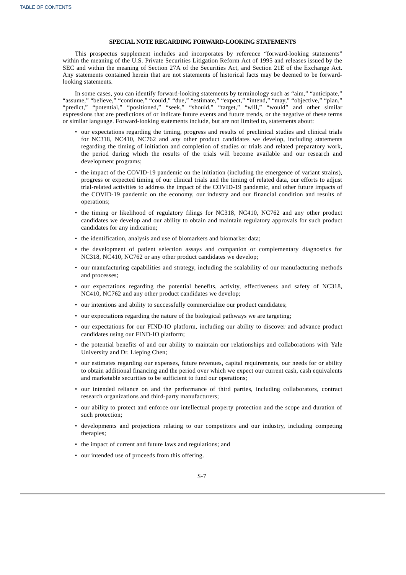## **SPECIAL NOTE REGARDING FORWARD-LOOKING STATEMENTS**

This prospectus supplement includes and incorporates by reference "forward-looking statements" within the meaning of the U.S. Private Securities Litigation Reform Act of 1995 and releases issued by the SEC and within the meaning of Section 27A of the Securities Act, and Section 21E of the Exchange Act. Any statements contained herein that are not statements of historical facts may be deemed to be forwardlooking statements.

In some cases, you can identify forward-looking statements by terminology such as "aim," "anticipate," "assume," "believe," "continue," "could," "due," "estimate," "expect," "intend," "may," "objective," "plan," "predict," "potential," "positioned," "seek," "should," "target," "will," "would" and other similar expressions that are predictions of or indicate future events and future trends, or the negative of these terms or similar language. Forward-looking statements include, but are not limited to, statements about:

- our expectations regarding the timing, progress and results of preclinical studies and clinical trials for NC318, NC410, NC762 and any other product candidates we develop, including statements regarding the timing of initiation and completion of studies or trials and related preparatory work, the period during which the results of the trials will become available and our research and development programs;
- the impact of the COVID-19 pandemic on the initiation (including the emergence of variant strains), progress or expected timing of our clinical trials and the timing of related data, our efforts to adjust trial-related activities to address the impact of the COVID-19 pandemic, and other future impacts of the COVID-19 pandemic on the economy, our industry and our financial condition and results of operations;
- the timing or likelihood of regulatory filings for NC318, NC410, NC762 and any other product candidates we develop and our ability to obtain and maintain regulatory approvals for such product candidates for any indication;
- the identification, analysis and use of biomarkers and biomarker data;
- the development of patient selection assays and companion or complementary diagnostics for NC318, NC410, NC762 or any other product candidates we develop;
- our manufacturing capabilities and strategy, including the scalability of our manufacturing methods and processes;
- our expectations regarding the potential benefits, activity, effectiveness and safety of NC318, NC410, NC762 and any other product candidates we develop;
- our intentions and ability to successfully commercialize our product candidates;
- our expectations regarding the nature of the biological pathways we are targeting;
- our expectations for our FIND-IO platform, including our ability to discover and advance product candidates using our FIND-IO platform;
- the potential benefits of and our ability to maintain our relationships and collaborations with Yale University and Dr. Lieping Chen;
- our estimates regarding our expenses, future revenues, capital requirements, our needs for or ability to obtain additional financing and the period over which we expect our current cash, cash equivalents and marketable securities to be sufficient to fund our operations;
- our intended reliance on and the performance of third parties, including collaborators, contract research organizations and third-party manufacturers;
- our ability to protect and enforce our intellectual property protection and the scope and duration of such protection;
- developments and projections relating to our competitors and our industry, including competing therapies;
- the impact of current and future laws and regulations; and
- our intended use of proceeds from this offering.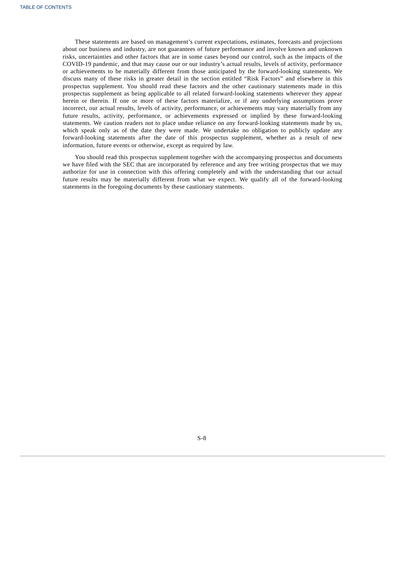These statements are based on management's current expectations, estimates, forecasts and projections about our business and industry, are not guarantees of future performance and involve known and unknown risks, uncertainties and other factors that are in some cases beyond our control, such as the impacts of the COVID-19 pandemic, and that may cause our or our industry's actual results, levels of activity, performance or achievements to be materially different from those anticipated by the forward-looking statements. We discuss many of these risks in greater detail in the section entitled "Risk Factors" and elsewhere in this prospectus supplement. You should read these factors and the other cautionary statements made in this prospectus supplement as being applicable to all related forward-looking statements wherever they appear herein or therein. If one or more of these factors materialize, or if any underlying assumptions prove incorrect, our actual results, levels of activity, performance, or achievements may vary materially from any future results, activity, performance, or achievements expressed or implied by these forward-looking statements. We caution readers not to place undue reliance on any forward-looking statements made by us, which speak only as of the date they were made. We undertake no obligation to publicly update any forward-looking statements after the date of this prospectus supplement, whether as a result of new information, future events or otherwise, except as required by law.

You should read this prospectus supplement together with the accompanying prospectus and documents we have filed with the SEC that are incorporated by reference and any free writing prospectus that we may authorize for use in connection with this offering completely and with the understanding that our actual future results may be materially different from what we expect. We qualify all of the forward-looking statements in the foregoing documents by these cautionary statements.

<span id="page-10-0"></span>S-8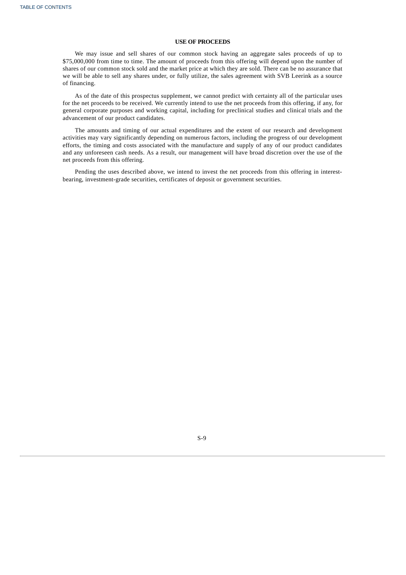## **USE OF PROCEEDS**

We may issue and sell shares of our common stock having an aggregate sales proceeds of up to \$75,000,000 from time to time. The amount of proceeds from this offering will depend upon the number of shares of our common stock sold and the market price at which they are sold. There can be no assurance that we will be able to sell any shares under, or fully utilize, the sales agreement with SVB Leerink as a source of financing.

As of the date of this prospectus supplement, we cannot predict with certainty all of the particular uses for the net proceeds to be received. We currently intend to use the net proceeds from this offering, if any, for general corporate purposes and working capital, including for preclinical studies and clinical trials and the advancement of our product candidates.

The amounts and timing of our actual expenditures and the extent of our research and development activities may vary significantly depending on numerous factors, including the progress of our development efforts, the timing and costs associated with the manufacture and supply of any of our product candidates and any unforeseen cash needs. As a result, our management will have broad discretion over the use of the net proceeds from this offering.

Pending the uses described above, we intend to invest the net proceeds from this offering in interestbearing, investment-grade securities, certificates of deposit or government securities.

<span id="page-11-0"></span>S-9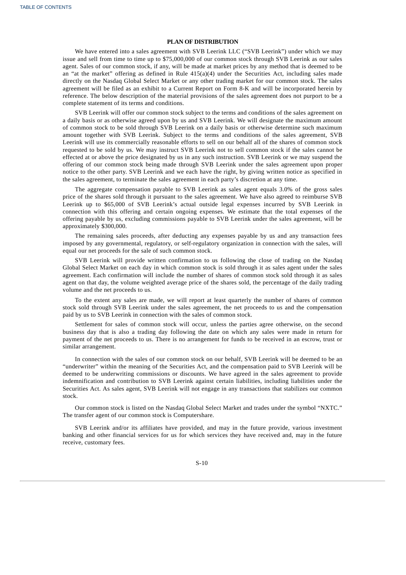## **PLAN OF DISTRIBUTION**

We have entered into a sales agreement with SVB Leerink LLC ("SVB Leerink") under which we may issue and sell from time to time up to \$75,000,000 of our common stock through SVB Leerink as our sales agent. Sales of our common stock, if any, will be made at market prices by any method that is deemed to be an "at the market" offering as defined in Rule  $415(a)(4)$  under the Securities Act, including sales made directly on the Nasdaq Global Select Market or any other trading market for our common stock. The sales agreement will be filed as an exhibit to a Current Report on Form 8-K and will be incorporated herein by reference. The below description of the material provisions of the sales agreement does not purport to be a complete statement of its terms and conditions.

SVB Leerink will offer our common stock subject to the terms and conditions of the sales agreement on a daily basis or as otherwise agreed upon by us and SVB Leerink. We will designate the maximum amount of common stock to be sold through SVB Leerink on a daily basis or otherwise determine such maximum amount together with SVB Leerink. Subject to the terms and conditions of the sales agreement, SVB Leerink will use its commercially reasonable efforts to sell on our behalf all of the shares of common stock requested to be sold by us. We may instruct SVB Leerink not to sell common stock if the sales cannot be effected at or above the price designated by us in any such instruction. SVB Leerink or we may suspend the offering of our common stock being made through SVB Leerink under the sales agreement upon proper notice to the other party. SVB Leerink and we each have the right, by giving written notice as specified in the sales agreement, to terminate the sales agreement in each party's discretion at any time.

The aggregate compensation payable to SVB Leerink as sales agent equals 3.0% of the gross sales price of the shares sold through it pursuant to the sales agreement. We have also agreed to reimburse SVB Leerink up to \$65,000 of SVB Leerink's actual outside legal expenses incurred by SVB Leerink in connection with this offering and certain ongoing expenses. We estimate that the total expenses of the offering payable by us, excluding commissions payable to SVB Leerink under the sales agreement, will be approximately \$300,000.

The remaining sales proceeds, after deducting any expenses payable by us and any transaction fees imposed by any governmental, regulatory, or self-regulatory organization in connection with the sales, will equal our net proceeds for the sale of such common stock.

SVB Leerink will provide written confirmation to us following the close of trading on the Nasdaq Global Select Market on each day in which common stock is sold through it as sales agent under the sales agreement. Each confirmation will include the number of shares of common stock sold through it as sales agent on that day, the volume weighted average price of the shares sold, the percentage of the daily trading volume and the net proceeds to us.

To the extent any sales are made, we will report at least quarterly the number of shares of common stock sold through SVB Leerink under the sales agreement, the net proceeds to us and the compensation paid by us to SVB Leerink in connection with the sales of common stock.

Settlement for sales of common stock will occur, unless the parties agree otherwise, on the second business day that is also a trading day following the date on which any sales were made in return for payment of the net proceeds to us. There is no arrangement for funds to be received in an escrow, trust or similar arrangement.

In connection with the sales of our common stock on our behalf, SVB Leerink will be deemed to be an "underwriter" within the meaning of the Securities Act, and the compensation paid to SVB Leerink will be deemed to be underwriting commissions or discounts. We have agreed in the sales agreement to provide indemnification and contribution to SVB Leerink against certain liabilities, including liabilities under the Securities Act. As sales agent, SVB Leerink will not engage in any transactions that stabilizes our common stock.

Our common stock is listed on the Nasdaq Global Select Market and trades under the symbol "NXTC." The transfer agent of our common stock is Computershare.

<span id="page-12-0"></span>SVB Leerink and/or its affiliates have provided, and may in the future provide, various investment banking and other financial services for us for which services they have received and, may in the future receive, customary fees.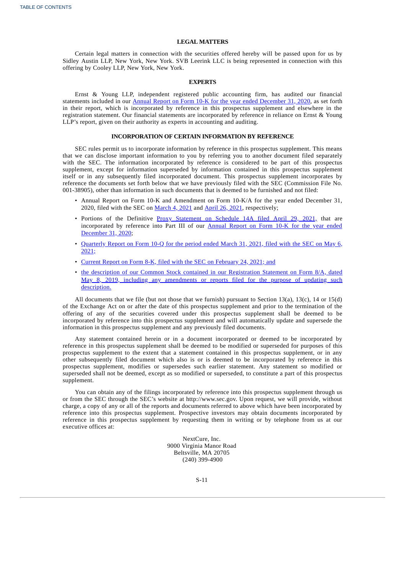## **LEGAL MATTERS**

Certain legal matters in connection with the securities offered hereby will be passed upon for us by Sidley Austin LLP, New York, New York. SVB Leerink LLC is being represented in connection with this offering by Cooley LLP, New York, New York.

#### **EXPERTS**

Ernst & Young LLP, independent registered public accounting firm, has audited our financial statements included in our Annual Report on Form 10-K for the year ended [December](http://www.sec.gov/Archives/edgar/data/1661059/000155837021002384/nxtc-20201231x10k.htm) 31, 2020, as set forth in their report, which is incorporated by reference in this prospectus supplement and elsewhere in the registration statement. Our financial statements are incorporated by reference in reliance on Ernst & Young LLP's report, given on their authority as experts in accounting and auditing.

## **INCORPORATION OF CERTAIN INFORMATION BY REFERENCE**

SEC rules permit us to incorporate information by reference in this prospectus supplement. This means that we can disclose important information to you by referring you to another document filed separately with the SEC. The information incorporated by reference is considered to be part of this prospectus supplement, except for information superseded by information contained in this prospectus supplement itself or in any subsequently filed incorporated document. This prospectus supplement incorporates by reference the documents set forth below that we have previously filed with the SEC (Commission File No. 001-38905), other than information in such documents that is deemed to be furnished and not filed:

- Annual Report on Form 10-K and Amendment on Form 10-K/A for the year ended December 31, 2020, filed with the SEC on [March](http://www.sec.gov/Archives/edgar/data/1661059/000155837021002384/nxtc-20201231x10k.htm) 4, 2021 and [April](http://www.sec.gov/Archives/edgar/data/1661059/000110465921054980/tm2113858d1_10ka.htm) 26, 2021, respectively;
- Portions of the Definitive Proxy [Statement](http://www.sec.gov/Archives/edgar/data/1661059/000110465921057620/tm212622-1_def14a.htm) on Schedule 14A filed April 29, 2021, that are [incorporated](http://www.sec.gov/Archives/edgar/data/1661059/000155837021002384/nxtc-20201231x10k.htm) by reference into Part III of our Annual Report on Form 10-K for the year ended December 31, 2020;
- [Quarterly](https://www.sec.gov/ix?doc=/Archives/edgar/data/0001661059/000155837021006266/nxtc-20210331x10q.htm) Report on Form 10-Q for the period ended March 31, 2021, filed with the SEC on May 6, 2021;
- Current Report on Form 8-K, filed with the SEC on [February](http://www.sec.gov/Archives/edgar/data/1661059/000110465921027570/tm217883d1_8k.htm) 24, 2021; and
- the description of our Common Stock contained in our Registration Statement on Form 8/A, dated May 8, 2019, including any [amendments](http://www.sec.gov/Archives/edgar/data/1661059/000110465919027670/a19-3387_98a12b.htm) or reports filed for the purpose of updating such description.

All documents that we file (but not those that we furnish) pursuant to Section 13(a), 13(c), 14 or 15(d) of the Exchange Act on or after the date of this prospectus supplement and prior to the termination of the offering of any of the securities covered under this prospectus supplement shall be deemed to be incorporated by reference into this prospectus supplement and will automatically update and supersede the information in this prospectus supplement and any previously filed documents.

Any statement contained herein or in a document incorporated or deemed to be incorporated by reference in this prospectus supplement shall be deemed to be modified or superseded for purposes of this prospectus supplement to the extent that a statement contained in this prospectus supplement, or in any other subsequently filed document which also is or is deemed to be incorporated by reference in this prospectus supplement, modifies or supersedes such earlier statement. Any statement so modified or superseded shall not be deemed, except as so modified or superseded, to constitute a part of this prospectus supplement.

You can obtain any of the filings incorporated by reference into this prospectus supplement through us or from the SEC through the SEC's website at http://www.sec.gov. Upon request, we will provide, without charge, a copy of any or all of the reports and documents referred to above which have been incorporated by reference into this prospectus supplement. Prospective investors may obtain documents incorporated by reference in this prospectus supplement by requesting them in writing or by telephone from us at our executive offices at:

> NextCure, Inc. 9000 Virginia Manor Road Beltsville, MA 20705 (240) 399-4900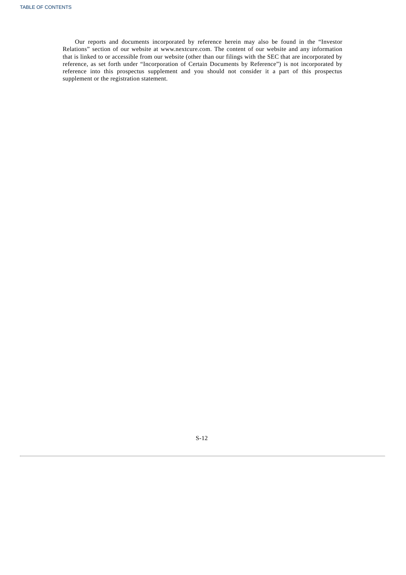Our reports and documents incorporated by reference herein may also be found in the "Investor Relations" section of our website at www.nextcure.com. The content of our website and any information that is linked to or accessible from our website (other than our filings with the SEC that are incorporated by reference, as set forth under "Incorporation of Certain Documents by Reference") is not incorporated by reference into this prospectus supplement and you should not consider it a part of this prospectus supplement or the registration statement.

S-12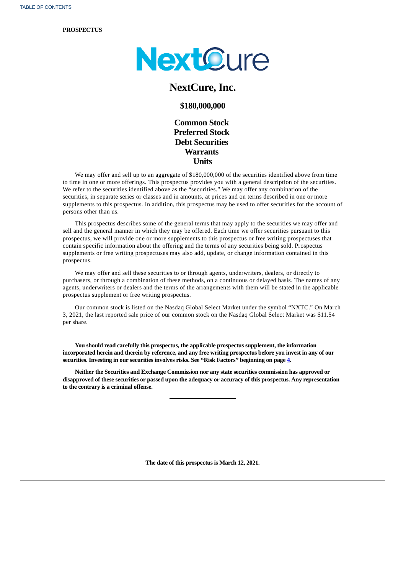## **PROSPECTUS**



# **NextCure, Inc.**

## **\$180,000,000**

**Common Stock Preferred Stock Debt Securities Warrants Units**

We may offer and sell up to an aggregate of \$180,000,000 of the securities identified above from time to time in one or more offerings. This prospectus provides you with a general description of the securities. We refer to the securities identified above as the "securities." We may offer any combination of the securities, in separate series or classes and in amounts, at prices and on terms described in one or more supplements to this prospectus. In addition, this prospectus may be used to offer securities for the account of persons other than us.

This prospectus describes some of the general terms that may apply to the securities we may offer and sell and the general manner in which they may be offered. Each time we offer securities pursuant to this prospectus, we will provide one or more supplements to this prospectus or free writing prospectuses that contain specific information about the offering and the terms of any securities being sold. Prospectus supplements or free writing prospectuses may also add, update, or change information contained in this prospectus.

We may offer and sell these securities to or through agents, underwriters, dealers, or directly to purchasers, or through a combination of these methods, on a continuous or delayed basis. The names of any agents, underwriters or dealers and the terms of the arrangements with them will be stated in the applicable prospectus supplement or free writing prospectus.

Our common stock is listed on the Nasdaq Global Select Market under the symbol "NXTC." On March 3, 2021, the last reported sale price of our common stock on the Nasdaq Global Select Market was \$11.54 per share.

**You should read carefully this prospectus, the applicable prospectus supplement, the information** incorporated herein and therein by reference, and any free writing prospectus before you invest in any of our **securities. Investing in our securities involves risks. See "Risk Factors" beginning on page [4](#page-5-0).**

**Neither the Securities and Exchange Commission nor any state securities commission has approved or disapproved of these securities or passed upon the adequacy or accuracy of this prospectus. Any representation to the contrary is a criminal offense.**

**The date of this prospectus is March 12, 2021.**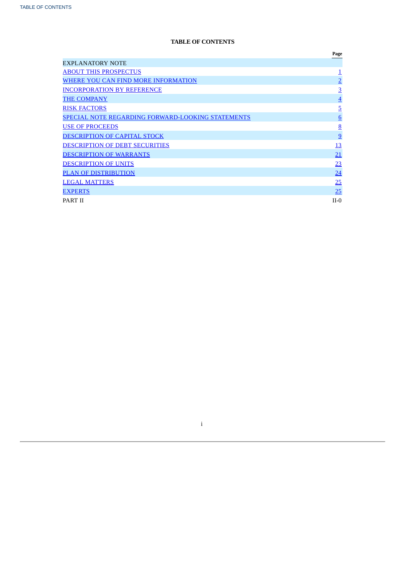# **TABLE OF CONTENTS**

|                                                   | Page            |
|---------------------------------------------------|-----------------|
| <b>EXPLANATORY NOTE</b>                           |                 |
| <b>ABOUT THIS PROSPECTUS</b>                      |                 |
| WHERE YOU CAN FIND MORE INFORMATION               | $\overline{2}$  |
| <b>INCORPORATION BY REFERENCE</b>                 | $\overline{3}$  |
| <b>THE COMPANY</b>                                | $\overline{4}$  |
| <b>RISK FACTORS</b>                               | $\overline{5}$  |
| SPECIAL NOTE REGARDING FORWARD-LOOKING STATEMENTS | 6               |
| <b>USE OF PROCEEDS</b>                            | $\underline{8}$ |
| <b>DESCRIPTION OF CAPITAL STOCK</b>               | 9               |
| <b>DESCRIPTION OF DEBT SECURITIES</b>             | 13              |
| <b>DESCRIPTION OF WARRANTS</b>                    | 21              |
| <b>DESCRIPTION OF UNITS</b>                       | 23              |
| <b>PLAN OF DISTRIBUTION</b>                       | 24              |
| <b>LEGAL MATTERS</b>                              | 25              |
| <b>EXPERTS</b>                                    | 25              |
| PART II                                           | $II-0$          |

<span id="page-16-0"></span>i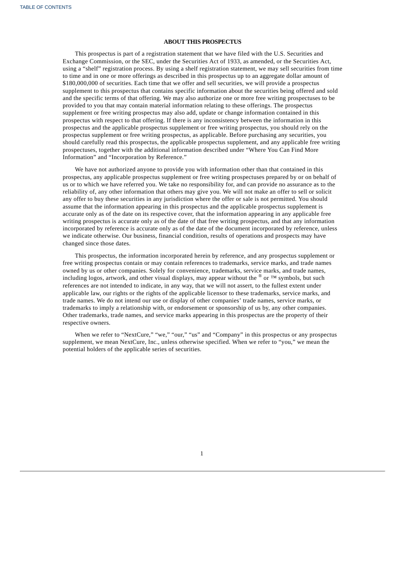## **ABOUT THIS PROSPECTUS**

This prospectus is part of a registration statement that we have filed with the U.S. Securities and Exchange Commission, or the SEC, under the Securities Act of 1933, as amended, or the Securities Act, using a "shelf" registration process. By using a shelf registration statement, we may sell securities from time to time and in one or more offerings as described in this prospectus up to an aggregate dollar amount of \$180,000,000 of securities. Each time that we offer and sell securities, we will provide a prospectus supplement to this prospectus that contains specific information about the securities being offered and sold and the specific terms of that offering. We may also authorize one or more free writing prospectuses to be provided to you that may contain material information relating to these offerings. The prospectus supplement or free writing prospectus may also add, update or change information contained in this prospectus with respect to that offering. If there is any inconsistency between the information in this prospectus and the applicable prospectus supplement or free writing prospectus, you should rely on the prospectus supplement or free writing prospectus, as applicable. Before purchasing any securities, you should carefully read this prospectus, the applicable prospectus supplement, and any applicable free writing prospectuses, together with the additional information described under "Where You Can Find More Information" and "Incorporation by Reference."

We have not authorized anyone to provide you with information other than that contained in this prospectus, any applicable prospectus supplement or free writing prospectuses prepared by or on behalf of us or to which we have referred you. We take no responsibility for, and can provide no assurance as to the reliability of, any other information that others may give you. We will not make an offer to sell or solicit any offer to buy these securities in any jurisdiction where the offer or sale is not permitted. You should assume that the information appearing in this prospectus and the applicable prospectus supplement is accurate only as of the date on its respective cover, that the information appearing in any applicable free writing prospectus is accurate only as of the date of that free writing prospectus, and that any information incorporated by reference is accurate only as of the date of the document incorporated by reference, unless we indicate otherwise. Our business, financial condition, results of operations and prospects may have changed since those dates.

This prospectus, the information incorporated herein by reference, and any prospectus supplement or free writing prospectus contain or may contain references to trademarks, service marks, and trade names owned by us or other companies. Solely for convenience, trademarks, service marks, and trade names, including logos, artwork, and other visual displays, may appear without the  $^{\circledR}$  or ™ symbols, but such references are not intended to indicate, in any way, that we will not assert, to the fullest extent under applicable law, our rights or the rights of the applicable licensor to these trademarks, service marks, and trade names. We do not intend our use or display of other companies' trade names, service marks, or trademarks to imply a relationship with, or endorsement or sponsorship of us by, any other companies. Other trademarks, trade names, and service marks appearing in this prospectus are the property of their respective owners.

<span id="page-17-0"></span>When we refer to "NextCure," "we," "our," "us" and "Company" in this prospectus or any prospectus supplement, we mean NextCure, Inc., unless otherwise specified. When we refer to "you," we mean the potential holders of the applicable series of securities.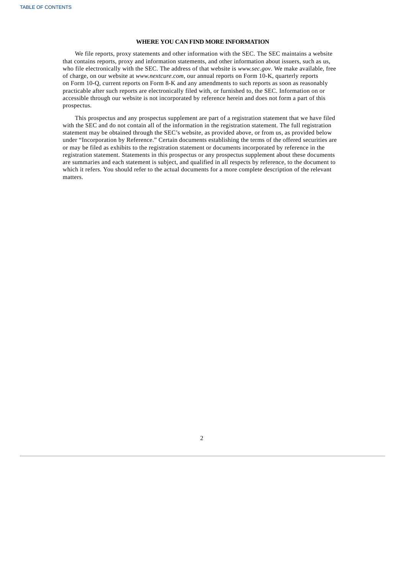## **WHERE YOU CAN FIND MORE INFORMATION**

We file reports, proxy statements and other information with the SEC. The SEC maintains a website that contains reports, proxy and information statements, and other information about issuers, such as us, who file electronically with the SEC. The address of that website is *www.sec.gov*. We make available, free of charge, on our website at *www.nextcure.com*, our annual reports on Form 10-K, quarterly reports on Form 10-Q, current reports on Form 8-K and any amendments to such reports as soon as reasonably practicable after such reports are electronically filed with, or furnished to, the SEC. Information on or accessible through our website is not incorporated by reference herein and does not form a part of this prospectus.

This prospectus and any prospectus supplement are part of a registration statement that we have filed with the SEC and do not contain all of the information in the registration statement. The full registration statement may be obtained through the SEC's website, as provided above, or from us, as provided below under "Incorporation by Reference." Certain documents establishing the terms of the offered securities are or may be filed as exhibits to the registration statement or documents incorporated by reference in the registration statement. Statements in this prospectus or any prospectus supplement about these documents are summaries and each statement is subject, and qualified in all respects by reference, to the document to which it refers. You should refer to the actual documents for a more complete description of the relevant matters.

<span id="page-18-0"></span>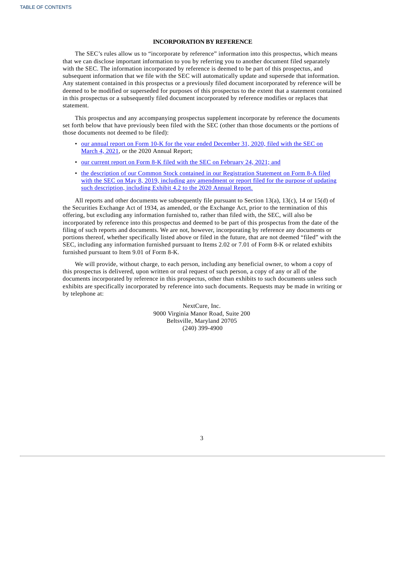## **INCORPORATION BY REFERENCE**

The SEC's rules allow us to "incorporate by reference" information into this prospectus, which means that we can disclose important information to you by referring you to another document filed separately with the SEC. The information incorporated by reference is deemed to be part of this prospectus, and subsequent information that we file with the SEC will automatically update and supersede that information. Any statement contained in this prospectus or a previously filed document incorporated by reference will be deemed to be modified or superseded for purposes of this prospectus to the extent that a statement contained in this prospectus or a subsequently filed document incorporated by reference modifies or replaces that statement.

This prospectus and any accompanying prospectus supplement incorporate by reference the documents set forth below that have previously been filed with the SEC (other than those documents or the portions of those documents not deemed to be filed):

- our annual report on Form 10-K for the year ended [December](http://www.sec.gov/Archives/edgar/data/1661059/000155837021002384/nxtc-20201231x10k.htm) 31, 2020, filed with the SEC on March 4, 2021, or the 2020 Annual Report;
- our current report on Form 8-K filed with the SEC on [February](http://www.sec.gov/Archives/edgar/data/1661059/000110465921027570/tm217883d1_8k.htm) 24, 2021; and
- the description of our Common Stock contained in our [Registration](http://www.sec.gov/Archives/edgar/data/1661059/000110465919027670/a19-3387_98a12b.htm) Statement on Form 8-A filed with the SEC on May 8, 2019, including any amendment or report filed for the purpose of updating such description, including Exhibit 4.2 to the 2020 Annual Report.

All reports and other documents we subsequently file pursuant to Section 13(a), 13(c), 14 or 15(d) of the Securities Exchange Act of 1934, as amended, or the Exchange Act, prior to the termination of this offering, but excluding any information furnished to, rather than filed with, the SEC, will also be incorporated by reference into this prospectus and deemed to be part of this prospectus from the date of the filing of such reports and documents. We are not, however, incorporating by reference any documents or portions thereof, whether specifically listed above or filed in the future, that are not deemed "filed" with the SEC, including any information furnished pursuant to Items 2.02 or 7.01 of Form 8-K or related exhibits furnished pursuant to Item 9.01 of Form 8-K.

We will provide, without charge, to each person, including any beneficial owner, to whom a copy of this prospectus is delivered, upon written or oral request of such person, a copy of any or all of the documents incorporated by reference in this prospectus, other than exhibits to such documents unless such exhibits are specifically incorporated by reference into such documents. Requests may be made in writing or by telephone at:

> <span id="page-19-0"></span>NextCure, Inc. 9000 Virginia Manor Road, Suite 200 Beltsville, Maryland 20705 (240) 399-4900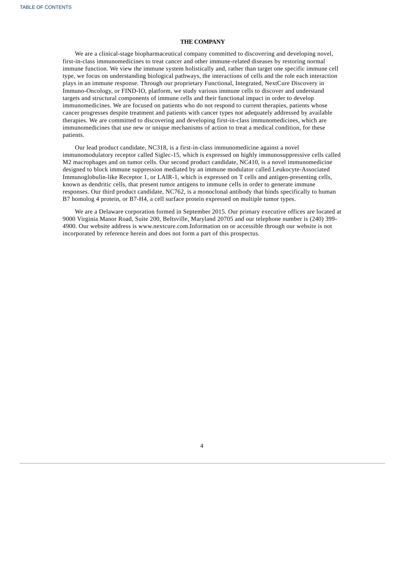## **THE COMPANY**

We are a clinical-stage biopharmaceutical company committed to discovering and developing novel, first-in-class immunomedicines to treat cancer and other immune-related diseases by restoring normal immune function. We view the immune system holistically and, rather than target one specific immune cell type, we focus on understanding biological pathways, the interactions of cells and the role each interaction plays in an immune response. Through our proprietary Functional, Integrated, NextCure Discovery in Immuno-Oncology, or FIND-IO, platform, we study various immune cells to discover and understand targets and structural components of immune cells and their functional impact in order to develop immunomedicines. We are focused on patients who do not respond to current therapies, patients whose cancer progresses despite treatment and patients with cancer types not adequately addressed by available therapies. We are committed to discovering and developing first-in-class immunomedicines, which are immunomedicines that use new or unique mechanisms of action to treat a medical condition, for these patients.

Our lead product candidate, NC318, is a first-in-class immunomedicine against a novel immunomodulatory receptor called Siglec-15, which is expressed on highly immunosuppressive cells called M2 macrophages and on tumor cells. Our second product candidate, NC410, is a novel immunomedicine designed to block immune suppression mediated by an immune modulator called Leukocyte-Associated Immunoglobulin-like Receptor 1, or LAIR-1, which is expressed on T cells and antigen-presenting cells, known as dendritic cells, that present tumor antigens to immune cells in order to generate immune responses. Our third product candidate, NC762, is a monoclonal antibody that binds specifically to human B7 homolog 4 protein, or B7-H4, a cell surface protein expressed on multiple tumor types.

<span id="page-20-0"></span>We are a Delaware corporation formed in September 2015. Our primary executive offices are located at 9000 Virginia Manor Road, Suite 200, Beltsville, Maryland 20705 and our telephone number is (240) 399- 4900. Our website address is www.nextcure.com.Information on or accessible through our website is not incorporated by reference herein and does not form a part of this prospectus.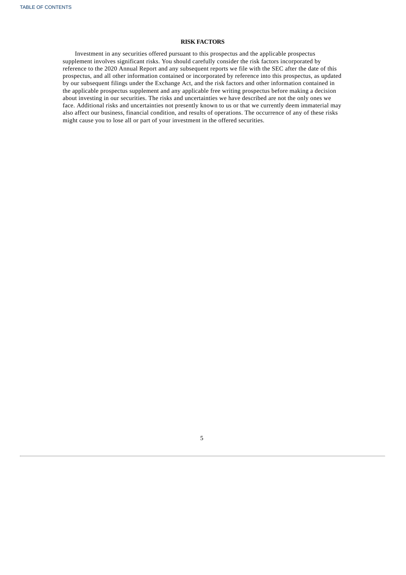## **RISK FACTORS**

<span id="page-21-0"></span>Investment in any securities offered pursuant to this prospectus and the applicable prospectus supplement involves significant risks. You should carefully consider the risk factors incorporated by reference to the 2020 Annual Report and any subsequent reports we file with the SEC after the date of this prospectus, and all other information contained or incorporated by reference into this prospectus, as updated by our subsequent filings under the Exchange Act, and the risk factors and other information contained in the applicable prospectus supplement and any applicable free writing prospectus before making a decision about investing in our securities. The risks and uncertainties we have described are not the only ones we face. Additional risks and uncertainties not presently known to us or that we currently deem immaterial may also affect our business, financial condition, and results of operations. The occurrence of any of these risks might cause you to lose all or part of your investment in the offered securities.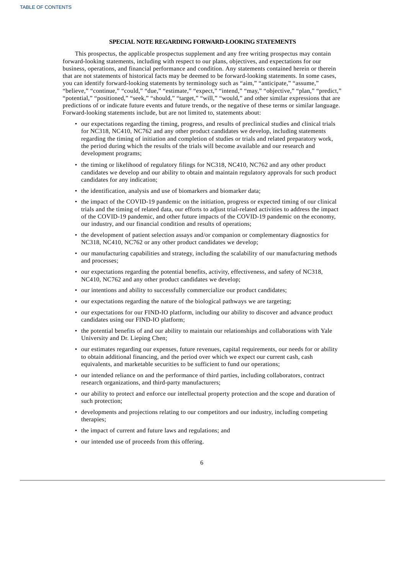## **SPECIAL NOTE REGARDING FORWARD-LOOKING STATEMENTS**

This prospectus, the applicable prospectus supplement and any free writing prospectus may contain forward-looking statements, including with respect to our plans, objectives, and expectations for our business, operations, and financial performance and condition. Any statements contained herein or therein that are not statements of historical facts may be deemed to be forward-looking statements. In some cases, you can identify forward-looking statements by terminology such as "aim," "anticipate," "assume," "believe," "continue," "could," "due," "estimate," "expect," "intend," "may," "objective," "plan," "predict," "potential," "positioned," "seek," "should," "target," "will," "would," and other similar expressions that are predictions of or indicate future events and future trends, or the negative of these terms or similar language. Forward-looking statements include, but are not limited to, statements about:

- our expectations regarding the timing, progress, and results of preclinical studies and clinical trials for NC318, NC410, NC762 and any other product candidates we develop, including statements regarding the timing of initiation and completion of studies or trials and related preparatory work, the period during which the results of the trials will become available and our research and development programs;
- the timing or likelihood of regulatory filings for NC318, NC410, NC762 and any other product candidates we develop and our ability to obtain and maintain regulatory approvals for such product candidates for any indication;
- the identification, analysis and use of biomarkers and biomarker data;
- the impact of the COVID-19 pandemic on the initiation, progress or expected timing of our clinical trials and the timing of related data, our efforts to adjust trial-related activities to address the impact of the COVID-19 pandemic, and other future impacts of the COVID-19 pandemic on the economy, our industry, and our financial condition and results of operations;
- the development of patient selection assays and/or companion or complementary diagnostics for NC318, NC410, NC762 or any other product candidates we develop;
- our manufacturing capabilities and strategy, including the scalability of our manufacturing methods and processes;
- our expectations regarding the potential benefits, activity, effectiveness, and safety of NC318, NC410, NC762 and any other product candidates we develop;
- our intentions and ability to successfully commercialize our product candidates;
- our expectations regarding the nature of the biological pathways we are targeting;
- our expectations for our FIND-IO platform, including our ability to discover and advance product candidates using our FIND-IO platform;
- the potential benefits of and our ability to maintain our relationships and collaborations with Yale University and Dr. Lieping Chen;
- our estimates regarding our expenses, future revenues, capital requirements, our needs for or ability to obtain additional financing, and the period over which we expect our current cash, cash equivalents, and marketable securities to be sufficient to fund our operations;
- our intended reliance on and the performance of third parties, including collaborators, contract research organizations, and third-party manufacturers;
- our ability to protect and enforce our intellectual property protection and the scope and duration of such protection;
- developments and projections relating to our competitors and our industry, including competing therapies;
- the impact of current and future laws and regulations; and
- our intended use of proceeds from this offering.
	- 6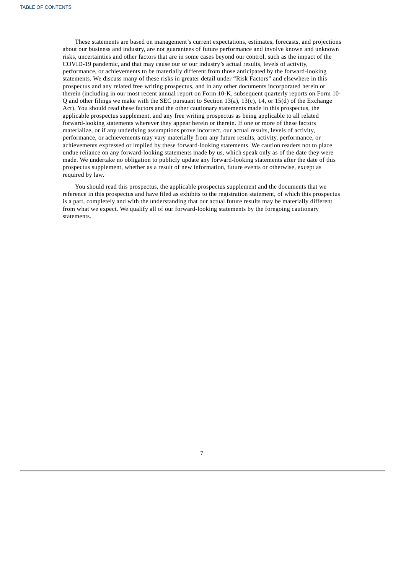These statements are based on management's current expectations, estimates, forecasts, and projections about our business and industry, are not guarantees of future performance and involve known and unknown risks, uncertainties and other factors that are in some cases beyond our control, such as the impact of the COVID-19 pandemic, and that may cause our or our industry's actual results, levels of activity, performance, or achievements to be materially different from those anticipated by the forward-looking statements. We discuss many of these risks in greater detail under "Risk Factors" and elsewhere in this prospectus and any related free writing prospectus, and in any other documents incorporated herein or therein (including in our most recent annual report on Form 10-K, subsequent quarterly reports on Form 10- Q and other filings we make with the SEC pursuant to Section 13(a), 13(c), 14, or 15(d) of the Exchange Act). You should read these factors and the other cautionary statements made in this prospectus, the applicable prospectus supplement, and any free writing prospectus as being applicable to all related forward-looking statements wherever they appear herein or therein. If one or more of these factors materialize, or if any underlying assumptions prove incorrect, our actual results, levels of activity, performance, or achievements may vary materially from any future results, activity, performance, or achievements expressed or implied by these forward-looking statements. We caution readers not to place undue reliance on any forward-looking statements made by us, which speak only as of the date they were made. We undertake no obligation to publicly update any forward-looking statements after the date of this prospectus supplement, whether as a result of new information, future events or otherwise, except as required by law.

<span id="page-23-0"></span>You should read this prospectus, the applicable prospectus supplement and the documents that we reference in this prospectus and have filed as exhibits to the registration statement, of which this prospectus is a part, completely and with the understanding that our actual future results may be materially different from what we expect. We qualify all of our forward-looking statements by the foregoing cautionary statements.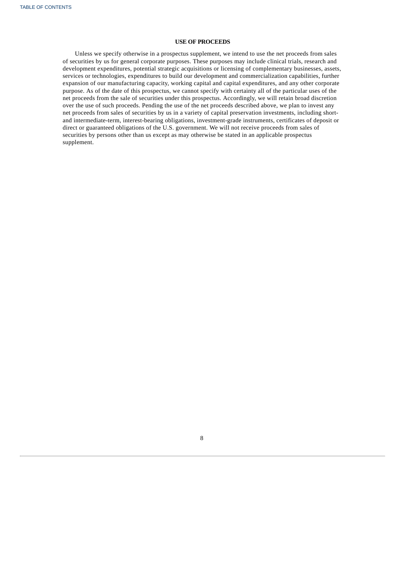## **USE OF PROCEEDS**

<span id="page-24-0"></span>Unless we specify otherwise in a prospectus supplement, we intend to use the net proceeds from sales of securities by us for general corporate purposes. These purposes may include clinical trials, research and development expenditures, potential strategic acquisitions or licensing of complementary businesses, assets, services or technologies, expenditures to build our development and commercialization capabilities, further expansion of our manufacturing capacity, working capital and capital expenditures, and any other corporate purpose. As of the date of this prospectus, we cannot specify with certainty all of the particular uses of the net proceeds from the sale of securities under this prospectus. Accordingly, we will retain broad discretion over the use of such proceeds. Pending the use of the net proceeds described above, we plan to invest any net proceeds from sales of securities by us in a variety of capital preservation investments, including shortand intermediate-term, interest-bearing obligations, investment-grade instruments, certificates of deposit or direct or guaranteed obligations of the U.S. government. We will not receive proceeds from sales of securities by persons other than us except as may otherwise be stated in an applicable prospectus supplement.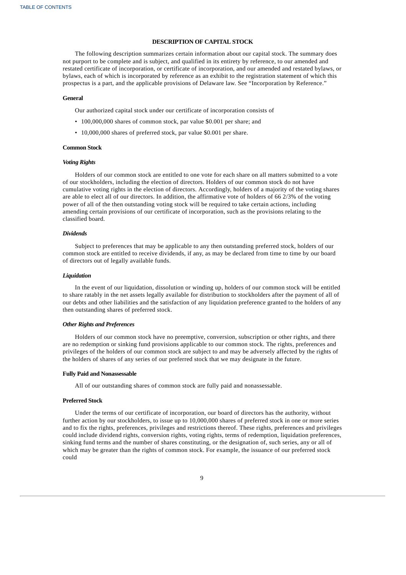## **DESCRIPTION OF CAPITAL STOCK**

The following description summarizes certain information about our capital stock. The summary does not purport to be complete and is subject, and qualified in its entirety by reference, to our amended and restated certificate of incorporation, or certificate of incorporation, and our amended and restated bylaws, or bylaws, each of which is incorporated by reference as an exhibit to the registration statement of which this prospectus is a part, and the applicable provisions of Delaware law. See "Incorporation by Reference."

## **General**

Our authorized capital stock under our certificate of incorporation consists of

- 100,000,000 shares of common stock, par value \$0.001 per share; and
- 10,000,000 shares of preferred stock, par value \$0.001 per share.

#### **Common Stock**

## *Voting Rights*

Holders of our common stock are entitled to one vote for each share on all matters submitted to a vote of our stockholders, including the election of directors. Holders of our common stock do not have cumulative voting rights in the election of directors. Accordingly, holders of a majority of the voting shares are able to elect all of our directors. In addition, the affirmative vote of holders of 66 2/3% of the voting power of all of the then outstanding voting stock will be required to take certain actions, including amending certain provisions of our certificate of incorporation, such as the provisions relating to the classified board.

#### *Dividends*

Subject to preferences that may be applicable to any then outstanding preferred stock, holders of our common stock are entitled to receive dividends, if any, as may be declared from time to time by our board of directors out of legally available funds.

#### *Liquidation*

In the event of our liquidation, dissolution or winding up, holders of our common stock will be entitled to share ratably in the net assets legally available for distribution to stockholders after the payment of all of our debts and other liabilities and the satisfaction of any liquidation preference granted to the holders of any then outstanding shares of preferred stock.

#### *Other Rights and Preferences*

Holders of our common stock have no preemptive, conversion, subscription or other rights, and there are no redemption or sinking fund provisions applicable to our common stock. The rights, preferences and privileges of the holders of our common stock are subject to and may be adversely affected by the rights of the holders of shares of any series of our preferred stock that we may designate in the future.

#### **Fully Paid and Nonassessable**

All of our outstanding shares of common stock are fully paid and nonassessable.

## **Preferred Stock**

Under the terms of our certificate of incorporation, our board of directors has the authority, without further action by our stockholders, to issue up to 10,000,000 shares of preferred stock in one or more series and to fix the rights, preferences, privileges and restrictions thereof. These rights, preferences and privileges could include dividend rights, conversion rights, voting rights, terms of redemption, liquidation preferences, sinking fund terms and the number of shares constituting, or the designation of, such series, any or all of which may be greater than the rights of common stock. For example, the issuance of our preferred stock could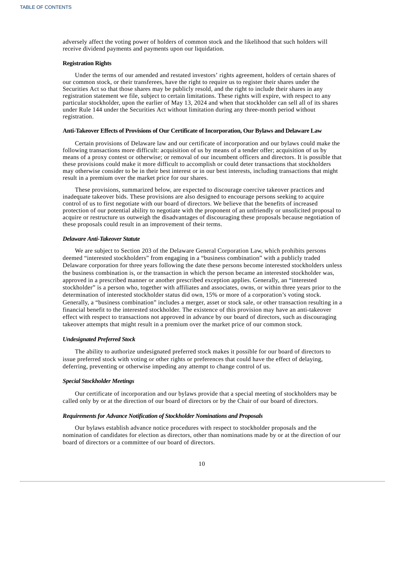adversely affect the voting power of holders of common stock and the likelihood that such holders will receive dividend payments and payments upon our liquidation.

## **Registration Rights**

Under the terms of our amended and restated investors' rights agreement, holders of certain shares of our common stock, or their transferees, have the right to require us to register their shares under the Securities Act so that those shares may be publicly resold, and the right to include their shares in any registration statement we file, subject to certain limitations. These rights will expire, with respect to any particular stockholder, upon the earlier of May 13, 2024 and when that stockholder can sell all of its shares under Rule 144 under the Securities Act without limitation during any three-month period without registration.

#### **Anti-Takeover Effects of Provisions of Our Certificate of Incorporation, Our Bylaws and Delaware Law**

Certain provisions of Delaware law and our certificate of incorporation and our bylaws could make the following transactions more difficult: acquisition of us by means of a tender offer; acquisition of us by means of a proxy contest or otherwise; or removal of our incumbent officers and directors. It is possible that these provisions could make it more difficult to accomplish or could deter transactions that stockholders may otherwise consider to be in their best interest or in our best interests, including transactions that might result in a premium over the market price for our shares.

These provisions, summarized below, are expected to discourage coercive takeover practices and inadequate takeover bids. These provisions are also designed to encourage persons seeking to acquire control of us to first negotiate with our board of directors. We believe that the benefits of increased protection of our potential ability to negotiate with the proponent of an unfriendly or unsolicited proposal to acquire or restructure us outweigh the disadvantages of discouraging these proposals because negotiation of these proposals could result in an improvement of their terms.

#### *Delaware Anti-Takeover Statute*

We are subject to Section 203 of the Delaware General Corporation Law, which prohibits persons deemed "interested stockholders" from engaging in a "business combination" with a publicly traded Delaware corporation for three years following the date these persons become interested stockholders unless the business combination is, or the transaction in which the person became an interested stockholder was, approved in a prescribed manner or another prescribed exception applies. Generally, an "interested stockholder" is a person who, together with affiliates and associates, owns, or within three years prior to the determination of interested stockholder status did own, 15% or more of a corporation's voting stock. Generally, a "business combination" includes a merger, asset or stock sale, or other transaction resulting in a financial benefit to the interested stockholder. The existence of this provision may have an anti-takeover effect with respect to transactions not approved in advance by our board of directors, such as discouraging takeover attempts that might result in a premium over the market price of our common stock.

## *Undesignated Preferred Stock*

The ability to authorize undesignated preferred stock makes it possible for our board of directors to issue preferred stock with voting or other rights or preferences that could have the effect of delaying, deferring, preventing or otherwise impeding any attempt to change control of us.

#### *Special Stockholder Meetings*

Our certificate of incorporation and our bylaws provide that a special meeting of stockholders may be called only by or at the direction of our board of directors or by the Chair of our board of directors.

## *Requirements for Advance Notification of Stockholder Nominations and Proposals*

Our bylaws establish advance notice procedures with respect to stockholder proposals and the nomination of candidates for election as directors, other than nominations made by or at the direction of our board of directors or a committee of our board of directors.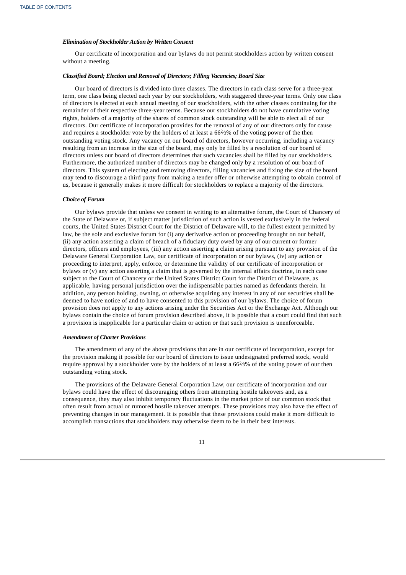## *Elimination of Stockholder Action by Written Consent*

Our certificate of incorporation and our bylaws do not permit stockholders action by written consent without a meeting.

#### *Classified Board; Election and Removal of Directors; Filling Vacancies; Board Size*

Our board of directors is divided into three classes. The directors in each class serve for a three-year term, one class being elected each year by our stockholders, with staggered three-year terms. Only one class of directors is elected at each annual meeting of our stockholders, with the other classes continuing for the remainder of their respective three-year terms. Because our stockholders do not have cumulative voting rights, holders of a majority of the shares of common stock outstanding will be able to elect all of our directors. Our certificate of incorporation provides for the removal of any of our directors only for cause and requires a stockholder vote by the holders of at least a 66<sup>2</sup>/3% of the voting power of the then outstanding voting stock. Any vacancy on our board of directors, however occurring, including a vacancy resulting from an increase in the size of the board, may only be filled by a resolution of our board of directors unless our board of directors determines that such vacancies shall be filled by our stockholders. Furthermore, the authorized number of directors may be changed only by a resolution of our board of directors. This system of electing and removing directors, filling vacancies and fixing the size of the board may tend to discourage a third party from making a tender offer or otherwise attempting to obtain control of us, because it generally makes it more difficult for stockholders to replace a majority of the directors.

## *Choice of Forum*

Our bylaws provide that unless we consent in writing to an alternative forum, the Court of Chancery of the State of Delaware or, if subject matter jurisdiction of such action is vested exclusively in the federal courts, the United States District Court for the District of Delaware will, to the fullest extent permitted by law, be the sole and exclusive forum for (i) any derivative action or proceeding brought on our behalf, (ii) any action asserting a claim of breach of a fiduciary duty owed by any of our current or former directors, officers and employees, (iii) any action asserting a claim arising pursuant to any provision of the Delaware General Corporation Law, our certificate of incorporation or our bylaws, (iv) any action or proceeding to interpret, apply, enforce, or determine the validity of our certificate of incorporation or bylaws or (v) any action asserting a claim that is governed by the internal affairs doctrine, in each case subject to the Court of Chancery or the United States District Court for the District of Delaware, as applicable, having personal jurisdiction over the indispensable parties named as defendants therein. In addition, any person holding, owning, or otherwise acquiring any interest in any of our securities shall be deemed to have notice of and to have consented to this provision of our bylaws. The choice of forum provision does not apply to any actions arising under the Securities Act or the Exchange Act. Although our bylaws contain the choice of forum provision described above, it is possible that a court could find that such a provision is inapplicable for a particular claim or action or that such provision is unenforceable.

#### *Amendment of Charter Provisions*

The amendment of any of the above provisions that are in our certificate of incorporation, except for the provision making it possible for our board of directors to issue undesignated preferred stock, would require approval by a stockholder vote by the holders of at least a 66½% of the voting power of our then outstanding voting stock.

The provisions of the Delaware General Corporation Law, our certificate of incorporation and our bylaws could have the effect of discouraging others from attempting hostile takeovers and, as a consequence, they may also inhibit temporary fluctuations in the market price of our common stock that often result from actual or rumored hostile takeover attempts. These provisions may also have the effect of preventing changes in our management. It is possible that these provisions could make it more difficult to accomplish transactions that stockholders may otherwise deem to be in their best interests.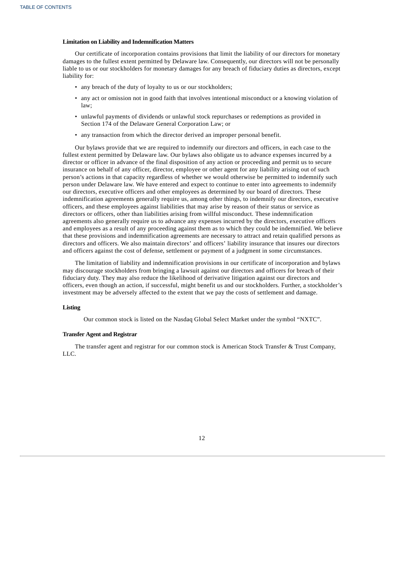## **Limitation on Liability and Indemnification Matters**

Our certificate of incorporation contains provisions that limit the liability of our directors for monetary damages to the fullest extent permitted by Delaware law. Consequently, our directors will not be personally liable to us or our stockholders for monetary damages for any breach of fiduciary duties as directors, except liability for:

- any breach of the duty of loyalty to us or our stockholders;
- any act or omission not in good faith that involves intentional misconduct or a knowing violation of law;
- unlawful payments of dividends or unlawful stock repurchases or redemptions as provided in Section 174 of the Delaware General Corporation Law; or
- any transaction from which the director derived an improper personal benefit.

Our bylaws provide that we are required to indemnify our directors and officers, in each case to the fullest extent permitted by Delaware law. Our bylaws also obligate us to advance expenses incurred by a director or officer in advance of the final disposition of any action or proceeding and permit us to secure insurance on behalf of any officer, director, employee or other agent for any liability arising out of such person's actions in that capacity regardless of whether we would otherwise be permitted to indemnify such person under Delaware law. We have entered and expect to continue to enter into agreements to indemnify our directors, executive officers and other employees as determined by our board of directors. These indemnification agreements generally require us, among other things, to indemnify our directors, executive officers, and these employees against liabilities that may arise by reason of their status or service as directors or officers, other than liabilities arising from willful misconduct. These indemnification agreements also generally require us to advance any expenses incurred by the directors, executive officers and employees as a result of any proceeding against them as to which they could be indemnified. We believe that these provisions and indemnification agreements are necessary to attract and retain qualified persons as directors and officers. We also maintain directors' and officers' liability insurance that insures our directors and officers against the cost of defense, settlement or payment of a judgment in some circumstances.

The limitation of liability and indemnification provisions in our certificate of incorporation and bylaws may discourage stockholders from bringing a lawsuit against our directors and officers for breach of their fiduciary duty. They may also reduce the likelihood of derivative litigation against our directors and officers, even though an action, if successful, might benefit us and our stockholders. Further, a stockholder's investment may be adversely affected to the extent that we pay the costs of settlement and damage.

#### **Listing**

Our common stock is listed on the Nasdaq Global Select Market under the symbol "NXTC".

#### **Transfer Agent and Registrar**

The transfer agent and registrar for our common stock is American Stock Transfer & Trust Company, LLC.

<span id="page-28-0"></span>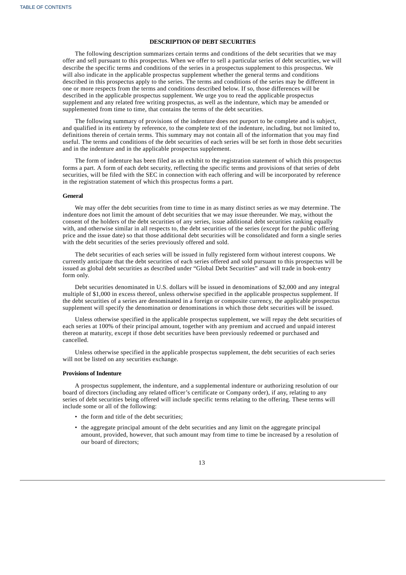## **DESCRIPTION OF DEBT SECURITIES**

The following description summarizes certain terms and conditions of the debt securities that we may offer and sell pursuant to this prospectus. When we offer to sell a particular series of debt securities, we will describe the specific terms and conditions of the series in a prospectus supplement to this prospectus. We will also indicate in the applicable prospectus supplement whether the general terms and conditions described in this prospectus apply to the series. The terms and conditions of the series may be different in one or more respects from the terms and conditions described below. If so, those differences will be described in the applicable prospectus supplement. We urge you to read the applicable prospectus supplement and any related free writing prospectus, as well as the indenture, which may be amended or supplemented from time to time, that contains the terms of the debt securities.

The following summary of provisions of the indenture does not purport to be complete and is subject, and qualified in its entirety by reference, to the complete text of the indenture, including, but not limited to, definitions therein of certain terms. This summary may not contain all of the information that you may find useful. The terms and conditions of the debt securities of each series will be set forth in those debt securities and in the indenture and in the applicable prospectus supplement.

The form of indenture has been filed as an exhibit to the registration statement of which this prospectus forms a part. A form of each debt security, reflecting the specific terms and provisions of that series of debt securities, will be filed with the SEC in connection with each offering and will be incorporated by reference in the registration statement of which this prospectus forms a part.

#### **General**

We may offer the debt securities from time to time in as many distinct series as we may determine. The indenture does not limit the amount of debt securities that we may issue thereunder. We may, without the consent of the holders of the debt securities of any series, issue additional debt securities ranking equally with, and otherwise similar in all respects to, the debt securities of the series (except for the public offering price and the issue date) so that those additional debt securities will be consolidated and form a single series with the debt securities of the series previously offered and sold.

The debt securities of each series will be issued in fully registered form without interest coupons. We currently anticipate that the debt securities of each series offered and sold pursuant to this prospectus will be issued as global debt securities as described under "Global Debt Securities" and will trade in book-entry form only.

Debt securities denominated in U.S. dollars will be issued in denominations of \$2,000 and any integral multiple of \$1,000 in excess thereof, unless otherwise specified in the applicable prospectus supplement. If the debt securities of a series are denominated in a foreign or composite currency, the applicable prospectus supplement will specify the denomination or denominations in which those debt securities will be issued.

Unless otherwise specified in the applicable prospectus supplement, we will repay the debt securities of each series at 100% of their principal amount, together with any premium and accrued and unpaid interest thereon at maturity, except if those debt securities have been previously redeemed or purchased and cancelled.

Unless otherwise specified in the applicable prospectus supplement, the debt securities of each series will not be listed on any securities exchange.

#### **Provisions of Indenture**

A prospectus supplement, the indenture, and a supplemental indenture or authorizing resolution of our board of directors (including any related officer's certificate or Company order), if any, relating to any series of debt securities being offered will include specific terms relating to the offering. These terms will include some or all of the following:

- the form and title of the debt securities;
- the aggregate principal amount of the debt securities and any limit on the aggregate principal amount, provided, however, that such amount may from time to time be increased by a resolution of our board of directors;

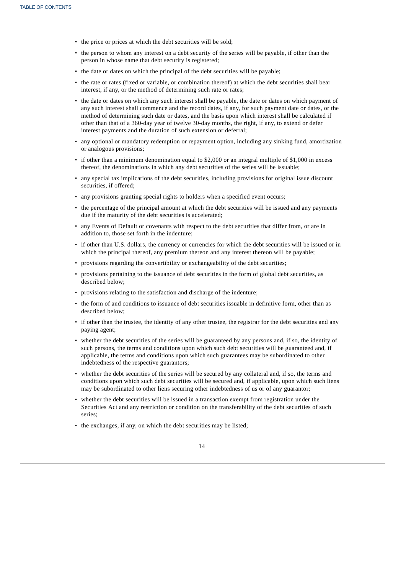- the price or prices at which the debt securities will be sold;
- the person to whom any interest on a debt security of the series will be payable, if other than the person in whose name that debt security is registered;
- the date or dates on which the principal of the debt securities will be payable;
- the rate or rates (fixed or variable, or combination thereof) at which the debt securities shall bear interest, if any, or the method of determining such rate or rates;
- the date or dates on which any such interest shall be payable, the date or dates on which payment of any such interest shall commence and the record dates, if any, for such payment date or dates, or the method of determining such date or dates, and the basis upon which interest shall be calculated if other than that of a 360-day year of twelve 30-day months, the right, if any, to extend or defer interest payments and the duration of such extension or deferral;
- any optional or mandatory redemption or repayment option, including any sinking fund, amortization or analogous provisions;
- if other than a minimum denomination equal to \$2,000 or an integral multiple of \$1,000 in excess thereof, the denominations in which any debt securities of the series will be issuable;
- any special tax implications of the debt securities, including provisions for original issue discount securities, if offered;
- any provisions granting special rights to holders when a specified event occurs;
- the percentage of the principal amount at which the debt securities will be issued and any payments due if the maturity of the debt securities is accelerated;
- any Events of Default or covenants with respect to the debt securities that differ from, or are in addition to, those set forth in the indenture;
- if other than U.S. dollars, the currency or currencies for which the debt securities will be issued or in which the principal thereof, any premium thereon and any interest thereon will be payable;
- provisions regarding the convertibility or exchangeability of the debt securities;
- provisions pertaining to the issuance of debt securities in the form of global debt securities, as described below;
- provisions relating to the satisfaction and discharge of the indenture;
- the form of and conditions to issuance of debt securities issuable in definitive form, other than as described below;
- if other than the trustee, the identity of any other trustee, the registrar for the debt securities and any paying agent;
- whether the debt securities of the series will be guaranteed by any persons and, if so, the identity of such persons, the terms and conditions upon which such debt securities will be guaranteed and, if applicable, the terms and conditions upon which such guarantees may be subordinated to other indebtedness of the respective guarantors;
- whether the debt securities of the series will be secured by any collateral and, if so, the terms and conditions upon which such debt securities will be secured and, if applicable, upon which such liens may be subordinated to other liens securing other indebtedness of us or of any guarantor;
- whether the debt securities will be issued in a transaction exempt from registration under the Securities Act and any restriction or condition on the transferability of the debt securities of such series;
- the exchanges, if any, on which the debt securities may be listed;

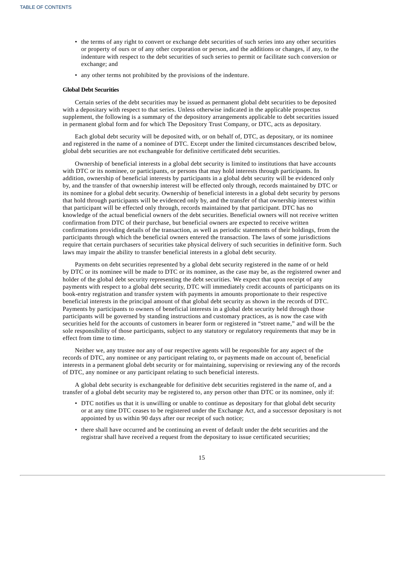- the terms of any right to convert or exchange debt securities of such series into any other securities or property of ours or of any other corporation or person, and the additions or changes, if any, to the indenture with respect to the debt securities of such series to permit or facilitate such conversion or exchange; and
- any other terms not prohibited by the provisions of the indenture.

#### **Global Debt Securities**

Certain series of the debt securities may be issued as permanent global debt securities to be deposited with a depositary with respect to that series. Unless otherwise indicated in the applicable prospectus supplement, the following is a summary of the depository arrangements applicable to debt securities issued in permanent global form and for which The Depository Trust Company, or DTC, acts as depositary.

Each global debt security will be deposited with, or on behalf of, DTC, as depositary, or its nominee and registered in the name of a nominee of DTC. Except under the limited circumstances described below, global debt securities are not exchangeable for definitive certificated debt securities.

Ownership of beneficial interests in a global debt security is limited to institutions that have accounts with DTC or its nominee, or participants, or persons that may hold interests through participants. In addition, ownership of beneficial interests by participants in a global debt security will be evidenced only by, and the transfer of that ownership interest will be effected only through, records maintained by DTC or its nominee for a global debt security. Ownership of beneficial interests in a global debt security by persons that hold through participants will be evidenced only by, and the transfer of that ownership interest within that participant will be effected only through, records maintained by that participant. DTC has no knowledge of the actual beneficial owners of the debt securities. Beneficial owners will not receive written confirmation from DTC of their purchase, but beneficial owners are expected to receive written confirmations providing details of the transaction, as well as periodic statements of their holdings, from the participants through which the beneficial owners entered the transaction. The laws of some jurisdictions require that certain purchasers of securities take physical delivery of such securities in definitive form. Such laws may impair the ability to transfer beneficial interests in a global debt security.

Payments on debt securities represented by a global debt security registered in the name of or held by DTC or its nominee will be made to DTC or its nominee, as the case may be, as the registered owner and holder of the global debt security representing the debt securities. We expect that upon receipt of any payments with respect to a global debt security, DTC will immediately credit accounts of participants on its book-entry registration and transfer system with payments in amounts proportionate to their respective beneficial interests in the principal amount of that global debt security as shown in the records of DTC. Payments by participants to owners of beneficial interests in a global debt security held through those participants will be governed by standing instructions and customary practices, as is now the case with securities held for the accounts of customers in bearer form or registered in "street name," and will be the sole responsibility of those participants, subject to any statutory or regulatory requirements that may be in effect from time to time.

Neither we, any trustee nor any of our respective agents will be responsible for any aspect of the records of DTC, any nominee or any participant relating to, or payments made on account of, beneficial interests in a permanent global debt security or for maintaining, supervising or reviewing any of the records of DTC, any nominee or any participant relating to such beneficial interests.

A global debt security is exchangeable for definitive debt securities registered in the name of, and a transfer of a global debt security may be registered to, any person other than DTC or its nominee, only if:

- DTC notifies us that it is unwilling or unable to continue as depositary for that global debt security or at any time DTC ceases to be registered under the Exchange Act, and a successor depositary is not appointed by us within 90 days after our receipt of such notice;
- there shall have occurred and be continuing an event of default under the debt securities and the registrar shall have received a request from the depositary to issue certificated securities;

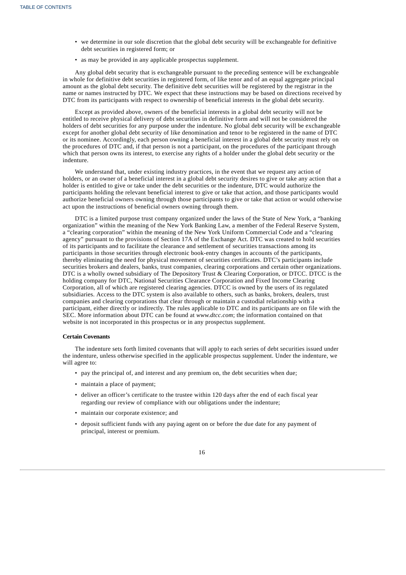- we determine in our sole discretion that the global debt security will be exchangeable for definitive debt securities in registered form; or
- as may be provided in any applicable prospectus supplement.

Any global debt security that is exchangeable pursuant to the preceding sentence will be exchangeable in whole for definitive debt securities in registered form, of like tenor and of an equal aggregate principal amount as the global debt security. The definitive debt securities will be registered by the registrar in the name or names instructed by DTC. We expect that these instructions may be based on directions received by DTC from its participants with respect to ownership of beneficial interests in the global debt security.

Except as provided above, owners of the beneficial interests in a global debt security will not be entitled to receive physical delivery of debt securities in definitive form and will not be considered the holders of debt securities for any purpose under the indenture. No global debt security will be exchangeable except for another global debt security of like denomination and tenor to be registered in the name of DTC or its nominee. Accordingly, each person owning a beneficial interest in a global debt security must rely on the procedures of DTC and, if that person is not a participant, on the procedures of the participant through which that person owns its interest, to exercise any rights of a holder under the global debt security or the indenture.

We understand that, under existing industry practices, in the event that we request any action of holders, or an owner of a beneficial interest in a global debt security desires to give or take any action that a holder is entitled to give or take under the debt securities or the indenture, DTC would authorize the participants holding the relevant beneficial interest to give or take that action, and those participants would authorize beneficial owners owning through those participants to give or take that action or would otherwise act upon the instructions of beneficial owners owning through them.

DTC is a limited purpose trust company organized under the laws of the State of New York, a "banking organization" within the meaning of the New York Banking Law, a member of the Federal Reserve System, a "clearing corporation" within the meaning of the New York Uniform Commercial Code and a "clearing agency" pursuant to the provisions of Section 17A of the Exchange Act. DTC was created to hold securities of its participants and to facilitate the clearance and settlement of securities transactions among its participants in those securities through electronic book-entry changes in accounts of the participants, thereby eliminating the need for physical movement of securities certificates. DTC's participants include securities brokers and dealers, banks, trust companies, clearing corporations and certain other organizations. DTC is a wholly owned subsidiary of The Depository Trust & Clearing Corporation, or DTCC. DTCC is the holding company for DTC, National Securities Clearance Corporation and Fixed Income Clearing Corporation, all of which are registered clearing agencies. DTCC is owned by the users of its regulated subsidiaries. Access to the DTC system is also available to others, such as banks, brokers, dealers, trust companies and clearing corporations that clear through or maintain a custodial relationship with a participant, either directly or indirectly. The rules applicable to DTC and its participants are on file with the SEC. More information about DTC can be found at *www.dtcc.com*; the information contained on that website is not incorporated in this prospectus or in any prospectus supplement.

#### **Certain Covenants**

The indenture sets forth limited covenants that will apply to each series of debt securities issued under the indenture, unless otherwise specified in the applicable prospectus supplement. Under the indenture, we will agree to:

- pay the principal of, and interest and any premium on, the debt securities when due;
- maintain a place of payment;
- deliver an officer's certificate to the trustee within 120 days after the end of each fiscal year regarding our review of compliance with our obligations under the indenture;
- maintain our corporate existence; and
- deposit sufficient funds with any paying agent on or before the due date for any payment of principal, interest or premium.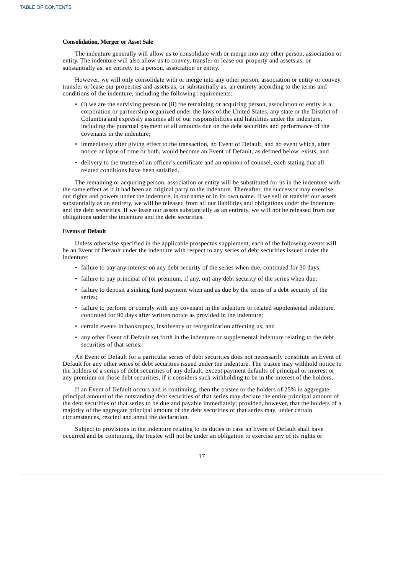## **Consolidation, Merger or Asset Sale**

The indenture generally will allow us to consolidate with or merge into any other person, association or entity. The indenture will also allow us to convey, transfer or lease our property and assets as, or substantially as, an entirety to a person, association or entity.

However, we will only consolidate with or merge into any other person, association or entity or convey, transfer or lease our properties and assets as, or substantially as, an entirety according to the terms and conditions of the indenture, including the following requirements:

- (i) we are the surviving person or (ii) the remaining or acquiring person, association or entity is a corporation or partnership organized under the laws of the United States, any state or the District of Columbia and expressly assumes all of our responsibilities and liabilities under the indenture, including the punctual payment of all amounts due on the debt securities and performance of the covenants in the indenture;
- immediately after giving effect to the transaction, no Event of Default, and no event which, after notice or lapse of time or both, would become an Event of Default, as defined below, exists; and
- delivery to the trustee of an officer's certificate and an opinion of counsel, each stating that all related conditions have been satisfied.

The remaining or acquiring person, association or entity will be substituted for us in the indenture with the same effect as if it had been an original party to the indenture. Thereafter, the successor may exercise our rights and powers under the indenture, in our name or in its own name. If we sell or transfer our assets substantially as an entirety, we will be released from all our liabilities and obligations under the indenture and the debt securities. If we lease our assets substantially as an entirety, we will not be released from our obligations under the indenture and the debt securities.

#### **Events of Default**

Unless otherwise specified in the applicable prospectus supplement, each of the following events will be an Event of Default under the indenture with respect to any series of debt securities issued under the indenture:

- failure to pay any interest on any debt security of the series when due, continued for 30 days;
- failure to pay principal of (or premium, if any, on) any debt security of the series when due;
- failure to deposit a sinking fund payment when and as due by the terms of a debt security of the series;
- failure to perform or comply with any covenant in the indenture or related supplemental indenture, continued for 90 days after written notice as provided in the indenture;
- certain events in bankruptcy, insolvency or reorganization affecting us; and
- any other Event of Default set forth in the indenture or supplemental indenture relating to the debt securities of that series.

An Event of Default for a particular series of debt securities does not necessarily constitute an Event of Default for any other series of debt securities issued under the indenture. The trustee may withhold notice to the holders of a series of debt securities of any default, except payment defaults of principal or interest or any premium on those debt securities, if it considers such withholding to be in the interest of the holders.

If an Event of Default occurs and is continuing, then the trustee or the holders of 25% in aggregate principal amount of the outstanding debt securities of that series may declare the entire principal amount of the debt securities of that series to be due and payable immediately; provided, however, that the holders of a majority of the aggregate principal amount of the debt securities of that series may, under certain circumstances, rescind and annul the declaration.

Subject to provisions in the indenture relating to its duties in case an Event of Default shall have occurred and be continuing, the trustee will not be under an obligation to exercise any of its rights or

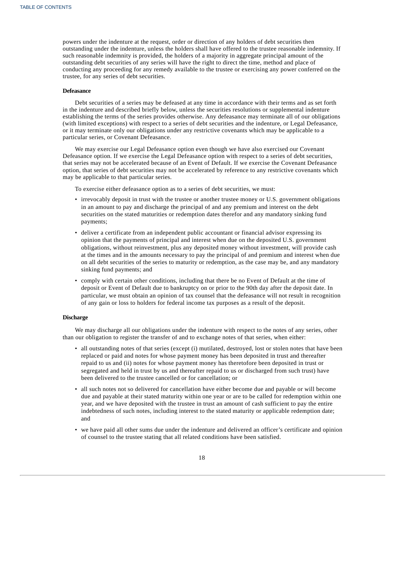powers under the indenture at the request, order or direction of any holders of debt securities then outstanding under the indenture, unless the holders shall have offered to the trustee reasonable indemnity. If such reasonable indemnity is provided, the holders of a majority in aggregate principal amount of the outstanding debt securities of any series will have the right to direct the time, method and place of conducting any proceeding for any remedy available to the trustee or exercising any power conferred on the trustee, for any series of debt securities.

#### **Defeasance**

Debt securities of a series may be defeased at any time in accordance with their terms and as set forth in the indenture and described briefly below, unless the securities resolutions or supplemental indenture establishing the terms of the series provides otherwise. Any defeasance may terminate all of our obligations (with limited exceptions) with respect to a series of debt securities and the indenture, or Legal Defeasance, or it may terminate only our obligations under any restrictive covenants which may be applicable to a particular series, or Covenant Defeasance.

We may exercise our Legal Defeasance option even though we have also exercised our Covenant Defeasance option. If we exercise the Legal Defeasance option with respect to a series of debt securities, that series may not be accelerated because of an Event of Default. If we exercise the Covenant Defeasance option, that series of debt securities may not be accelerated by reference to any restrictive covenants which may be applicable to that particular series.

To exercise either defeasance option as to a series of debt securities, we must:

- irrevocably deposit in trust with the trustee or another trustee money or U.S. government obligations in an amount to pay and discharge the principal of and any premium and interest on the debt securities on the stated maturities or redemption dates therefor and any mandatory sinking fund payments;
- deliver a certificate from an independent public accountant or financial advisor expressing its opinion that the payments of principal and interest when due on the deposited U.S. government obligations, without reinvestment, plus any deposited money without investment, will provide cash at the times and in the amounts necessary to pay the principal of and premium and interest when due on all debt securities of the series to maturity or redemption, as the case may be, and any mandatory sinking fund payments; and
- comply with certain other conditions, including that there be no Event of Default at the time of deposit or Event of Default due to bankruptcy on or prior to the 90th day after the deposit date. In particular, we must obtain an opinion of tax counsel that the defeasance will not result in recognition of any gain or loss to holders for federal income tax purposes as a result of the deposit.

#### **Discharge**

We may discharge all our obligations under the indenture with respect to the notes of any series, other than our obligation to register the transfer of and to exchange notes of that series, when either:

- all outstanding notes of that series (except (i) mutilated, destroyed, lost or stolen notes that have been replaced or paid and notes for whose payment money has been deposited in trust and thereafter repaid to us and (ii) notes for whose payment money has theretofore been deposited in trust or segregated and held in trust by us and thereafter repaid to us or discharged from such trust) have been delivered to the trustee cancelled or for cancellation; or
- all such notes not so delivered for cancellation have either become due and payable or will become due and payable at their stated maturity within one year or are to be called for redemption within one year, and we have deposited with the trustee in trust an amount of cash sufficient to pay the entire indebtedness of such notes, including interest to the stated maturity or applicable redemption date; and
- we have paid all other sums due under the indenture and delivered an officer's certificate and opinion of counsel to the trustee stating that all related conditions have been satisfied.

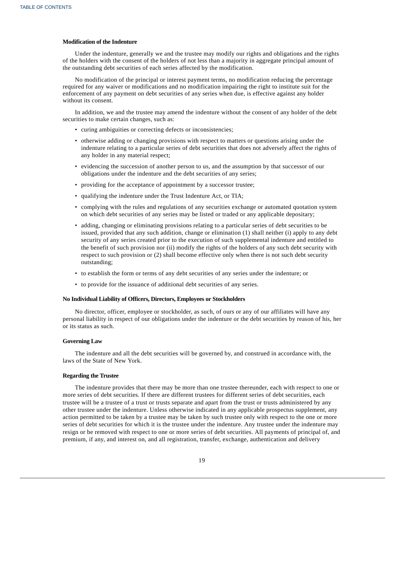## **Modification of the Indenture**

Under the indenture, generally we and the trustee may modify our rights and obligations and the rights of the holders with the consent of the holders of not less than a majority in aggregate principal amount of the outstanding debt securities of each series affected by the modification.

No modification of the principal or interest payment terms, no modification reducing the percentage required for any waiver or modifications and no modification impairing the right to institute suit for the enforcement of any payment on debt securities of any series when due, is effective against any holder without its consent.

In addition, we and the trustee may amend the indenture without the consent of any holder of the debt securities to make certain changes, such as:

- curing ambiguities or correcting defects or inconsistencies;
- otherwise adding or changing provisions with respect to matters or questions arising under the indenture relating to a particular series of debt securities that does not adversely affect the rights of any holder in any material respect;
- evidencing the succession of another person to us, and the assumption by that successor of our obligations under the indenture and the debt securities of any series;
- providing for the acceptance of appointment by a successor trustee;
- qualifying the indenture under the Trust Indenture Act, or TIA;
- complying with the rules and regulations of any securities exchange or automated quotation system on which debt securities of any series may be listed or traded or any applicable depositary;
- adding, changing or eliminating provisions relating to a particular series of debt securities to be issued, provided that any such addition, change or elimination (1) shall neither (i) apply to any debt security of any series created prior to the execution of such supplemental indenture and entitled to the benefit of such provision nor (ii) modify the rights of the holders of any such debt security with respect to such provision or (2) shall become effective only when there is not such debt security outstanding;
- to establish the form or terms of any debt securities of any series under the indenture; or
- to provide for the issuance of additional debt securities of any series.

## **No Individual Liability of Officers, Directors, Employees or Stockholders**

No director, officer, employee or stockholder, as such, of ours or any of our affiliates will have any personal liability in respect of our obligations under the indenture or the debt securities by reason of his, her or its status as such.

## **Governing Law**

The indenture and all the debt securities will be governed by, and construed in accordance with, the laws of the State of New York.

#### **Regarding the Trustee**

The indenture provides that there may be more than one trustee thereunder, each with respect to one or more series of debt securities. If there are different trustees for different series of debt securities, each trustee will be a trustee of a trust or trusts separate and apart from the trust or trusts administered by any other trustee under the indenture. Unless otherwise indicated in any applicable prospectus supplement, any action permitted to be taken by a trustee may be taken by such trustee only with respect to the one or more series of debt securities for which it is the trustee under the indenture. Any trustee under the indenture may resign or be removed with respect to one or more series of debt securities. All payments of principal of, and premium, if any, and interest on, and all registration, transfer, exchange, authentication and delivery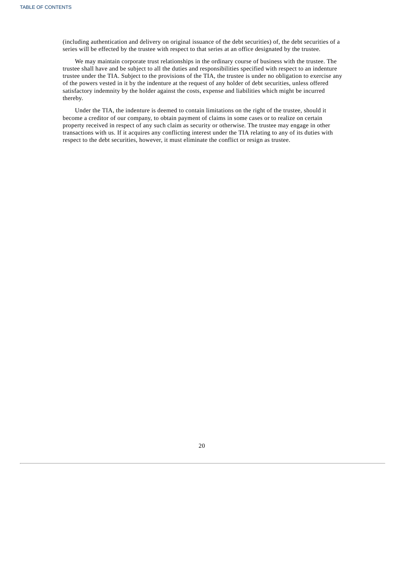(including authentication and delivery on original issuance of the debt securities) of, the debt securities of a series will be effected by the trustee with respect to that series at an office designated by the trustee.

We may maintain corporate trust relationships in the ordinary course of business with the trustee. The trustee shall have and be subject to all the duties and responsibilities specified with respect to an indenture trustee under the TIA. Subject to the provisions of the TIA, the trustee is under no obligation to exercise any of the powers vested in it by the indenture at the request of any holder of debt securities, unless offered satisfactory indemnity by the holder against the costs, expense and liabilities which might be incurred thereby.

<span id="page-36-0"></span>Under the TIA, the indenture is deemed to contain limitations on the right of the trustee, should it become a creditor of our company, to obtain payment of claims in some cases or to realize on certain property received in respect of any such claim as security or otherwise. The trustee may engage in other transactions with us. If it acquires any conflicting interest under the TIA relating to any of its duties with respect to the debt securities, however, it must eliminate the conflict or resign as trustee.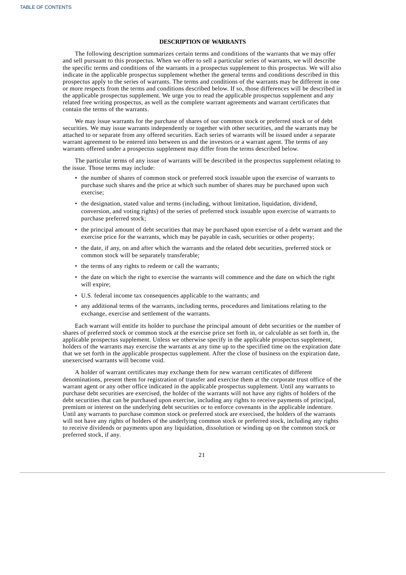## **DESCRIPTION OF WARRANTS**

The following description summarizes certain terms and conditions of the warrants that we may offer and sell pursuant to this prospectus. When we offer to sell a particular series of warrants, we will describe the specific terms and conditions of the warrants in a prospectus supplement to this prospectus. We will also indicate in the applicable prospectus supplement whether the general terms and conditions described in this prospectus apply to the series of warrants. The terms and conditions of the warrants may be different in one or more respects from the terms and conditions described below. If so, those differences will be described in the applicable prospectus supplement. We urge you to read the applicable prospectus supplement and any related free writing prospectus, as well as the complete warrant agreements and warrant certificates that contain the terms of the warrants.

We may issue warrants for the purchase of shares of our common stock or preferred stock or of debt securities. We may issue warrants independently or together with other securities, and the warrants may be attached to or separate from any offered securities. Each series of warrants will be issued under a separate warrant agreement to be entered into between us and the investors or a warrant agent. The terms of any warrants offered under a prospectus supplement may differ from the terms described below.

The particular terms of any issue of warrants will be described in the prospectus supplement relating to the issue. Those terms may include:

- the number of shares of common stock or preferred stock issuable upon the exercise of warrants to purchase such shares and the price at which such number of shares may be purchased upon such exercise;
- the designation, stated value and terms (including, without limitation, liquidation, dividend, conversion, and voting rights) of the series of preferred stock issuable upon exercise of warrants to purchase preferred stock;
- the principal amount of debt securities that may be purchased upon exercise of a debt warrant and the exercise price for the warrants, which may be payable in cash, securities or other property;
- the date, if any, on and after which the warrants and the related debt securities, preferred stock or common stock will be separately transferable;
- the terms of any rights to redeem or call the warrants;
- the date on which the right to exercise the warrants will commence and the date on which the right will expire;
- U.S. federal income tax consequences applicable to the warrants; and
- any additional terms of the warrants, including terms, procedures and limitations relating to the exchange, exercise and settlement of the warrants.

Each warrant will entitle its holder to purchase the principal amount of debt securities or the number of shares of preferred stock or common stock at the exercise price set forth in, or calculable as set forth in, the applicable prospectus supplement. Unless we otherwise specify in the applicable prospectus supplement, holders of the warrants may exercise the warrants at any time up to the specified time on the expiration date that we set forth in the applicable prospectus supplement. After the close of business on the expiration date, unexercised warrants will become void.

A holder of warrant certificates may exchange them for new warrant certificates of different denominations, present them for registration of transfer and exercise them at the corporate trust office of the warrant agent or any other office indicated in the applicable prospectus supplement. Until any warrants to purchase debt securities are exercised, the holder of the warrants will not have any rights of holders of the debt securities that can be purchased upon exercise, including any rights to receive payments of principal, premium or interest on the underlying debt securities or to enforce covenants in the applicable indenture. Until any warrants to purchase common stock or preferred stock are exercised, the holders of the warrants will not have any rights of holders of the underlying common stock or preferred stock, including any rights to receive dividends or payments upon any liquidation, dissolution or winding up on the common stock or preferred stock, if any.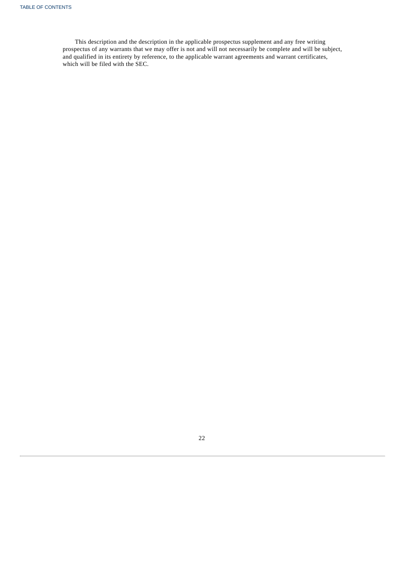<span id="page-38-0"></span>This description and the description in the applicable prospectus supplement and any free writing prospectus of any warrants that we may offer is not and will not necessarily be complete and will be subject, and qualified in its entirety by reference, to the applicable warrant agreements and warrant certificates, which will be filed with the SEC.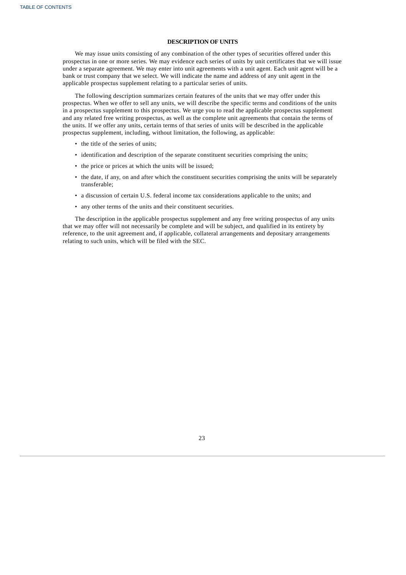## **DESCRIPTION OF UNITS**

We may issue units consisting of any combination of the other types of securities offered under this prospectus in one or more series. We may evidence each series of units by unit certificates that we will issue under a separate agreement. We may enter into unit agreements with a unit agent. Each unit agent will be a bank or trust company that we select. We will indicate the name and address of any unit agent in the applicable prospectus supplement relating to a particular series of units.

The following description summarizes certain features of the units that we may offer under this prospectus. When we offer to sell any units, we will describe the specific terms and conditions of the units in a prospectus supplement to this prospectus. We urge you to read the applicable prospectus supplement and any related free writing prospectus, as well as the complete unit agreements that contain the terms of the units. If we offer any units, certain terms of that series of units will be described in the applicable prospectus supplement, including, without limitation, the following, as applicable:

- the title of the series of units;
- identification and description of the separate constituent securities comprising the units;
- the price or prices at which the units will be issued;
- the date, if any, on and after which the constituent securities comprising the units will be separately transferable;
- a discussion of certain U.S. federal income tax considerations applicable to the units; and
- any other terms of the units and their constituent securities.

The description in the applicable prospectus supplement and any free writing prospectus of any units that we may offer will not necessarily be complete and will be subject, and qualified in its entirety by reference, to the unit agreement and, if applicable, collateral arrangements and depositary arrangements relating to such units, which will be filed with the SEC.

<span id="page-39-0"></span>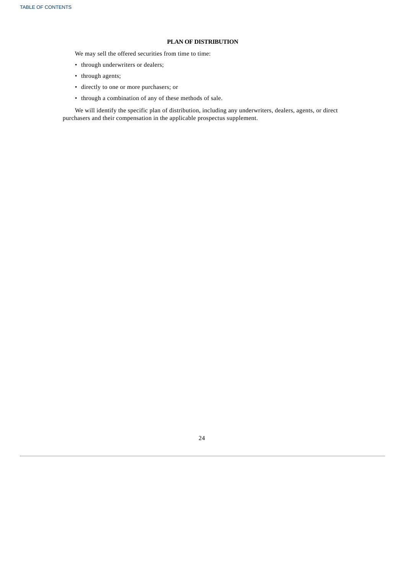## **PLAN OF DISTRIBUTION**

We may sell the offered securities from time to time:

- through underwriters or dealers;
- through agents;
- directly to one or more purchasers; or
- through a combination of any of these methods of sale.

<span id="page-40-0"></span>We will identify the specific plan of distribution, including any underwriters, dealers, agents, or direct purchasers and their compensation in the applicable prospectus supplement.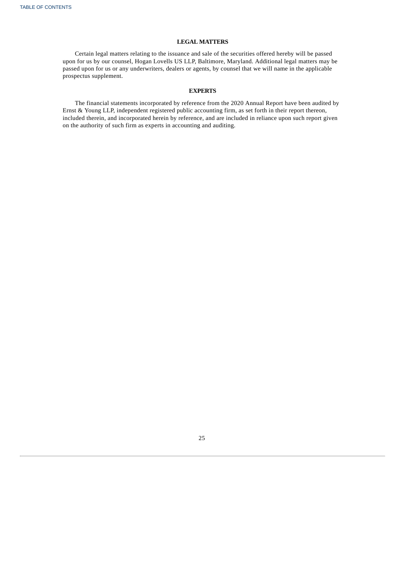## **LEGAL MATTERS**

Certain legal matters relating to the issuance and sale of the securities offered hereby will be passed upon for us by our counsel, Hogan Lovells US LLP, Baltimore, Maryland. Additional legal matters may be passed upon for us or any underwriters, dealers or agents, by counsel that we will name in the applicable prospectus supplement.

## **EXPERTS**

The financial statements incorporated by reference from the 2020 Annual Report have been audited by Ernst & Young LLP, independent registered public accounting firm, as set forth in their report thereon, included therein, and incorporated herein by reference, and are included in reliance upon such report given on the authority of such firm as experts in accounting and auditing.